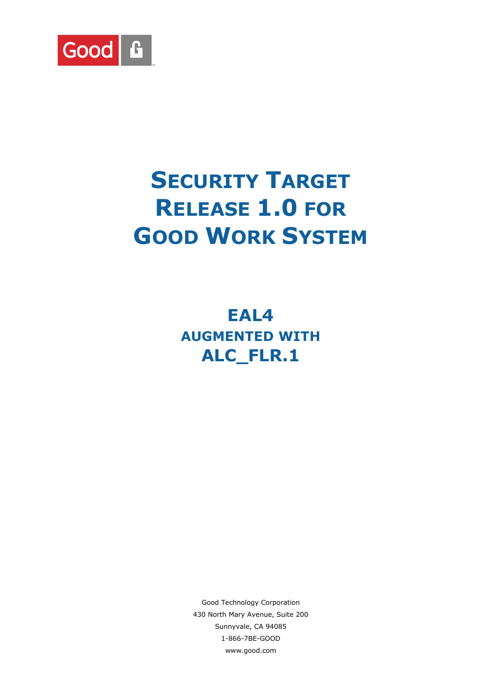

# **SECURITY TARGET RELEASE 1.0 FOR GOOD WORK SYSTEM**

**EAL4 AUGMENTED WITH ALC\_FLR.1**

Good Technology Corporation 430 North Mary Avenue, Suite 200 Sunnyvale, CA 94085 1-866-7BE-GOOD www.good.com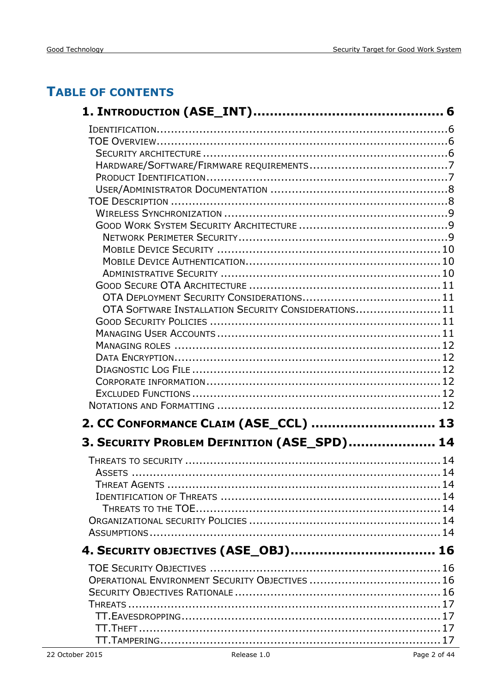## **TABLE OF CONTENTS**

| OTA SOFTWARE INSTALLATION SECURITY CONSIDERATIONS 11 |  |
|------------------------------------------------------|--|
|                                                      |  |
|                                                      |  |
|                                                      |  |
|                                                      |  |
|                                                      |  |
|                                                      |  |
|                                                      |  |
| 2. CC CONFORMANCE CLAIM (ASE_CCL)  13                |  |
| 3. SECURITY PROBLEM DEFINITION (ASE_SPD) 14          |  |
|                                                      |  |
|                                                      |  |
|                                                      |  |
|                                                      |  |
|                                                      |  |
|                                                      |  |
|                                                      |  |
| 4. SECURITY OBJECTIVES (ASE_OBJ) 16                  |  |
|                                                      |  |
|                                                      |  |
|                                                      |  |
|                                                      |  |
|                                                      |  |
|                                                      |  |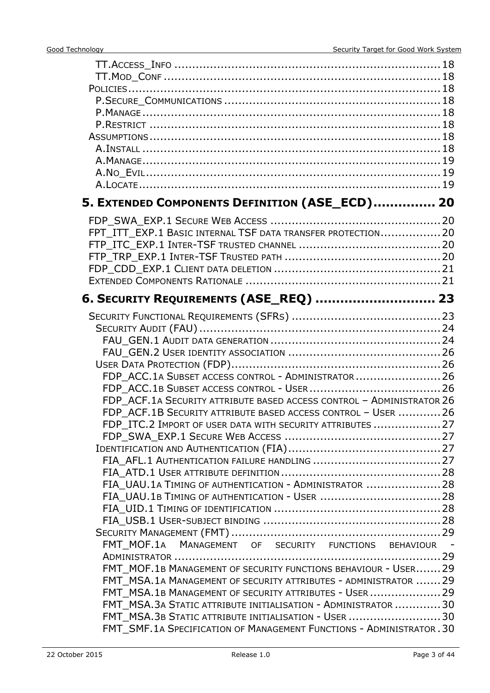| 5. EXTENDED COMPONENTS DEFINITION (ASE_ECD) 20                        |  |
|-----------------------------------------------------------------------|--|
|                                                                       |  |
| FPT_ITT_EXP.1 BASIC INTERNAL TSF DATA TRANSFER PROTECTION 20          |  |
|                                                                       |  |
|                                                                       |  |
|                                                                       |  |
|                                                                       |  |
|                                                                       |  |
| 6. SECURITY REQUIREMENTS (ASE_REQ)  23                                |  |
|                                                                       |  |
|                                                                       |  |
|                                                                       |  |
|                                                                       |  |
|                                                                       |  |
| FDP ACC.1A SUBSET ACCESS CONTROL - ADMINISTRATOR  26                  |  |
|                                                                       |  |
| FDP_ACF.1A SECURITY ATTRIBUTE BASED ACCESS CONTROL - ADMINISTRATOR 26 |  |
| FDP_ACF.1B SECURITY ATTRIBUTE BASED ACCESS CONTROL - USER  26         |  |
| FDP ITC.2 IMPORT OF USER DATA WITH SECURITY ATTRIBUTES  27            |  |
|                                                                       |  |
|                                                                       |  |
|                                                                       |  |
|                                                                       |  |
| FIA_UAU.1A TIMING OF AUTHENTICATION - ADMINISTRATOR  28               |  |
|                                                                       |  |
|                                                                       |  |
|                                                                       |  |
| FMT_MOF.1A MANAGEMENT OF SECURITY FUNCTIONS BEHAVIOUR -               |  |
|                                                                       |  |
| FMT MOF.1B MANAGEMENT OF SECURITY FUNCTIONS BEHAVIOUR - USER 29       |  |
| FMT MSA.1A MANAGEMENT OF SECURITY ATTRIBUTES - ADMINISTRATOR  29      |  |
| FMT MSA.1B MANAGEMENT OF SECURITY ATTRIBUTES - USER  29               |  |
| FMT_MSA.3A STATIC ATTRIBUTE INITIALISATION - ADMINISTRATOR  30        |  |
| FMT MSA.3B STATIC ATTRIBUTE INITIALISATION - USER 30                  |  |
| FMT SMF.1A SPECIFICATION OF MANAGEMENT FUNCTIONS - ADMINISTRATOR.30   |  |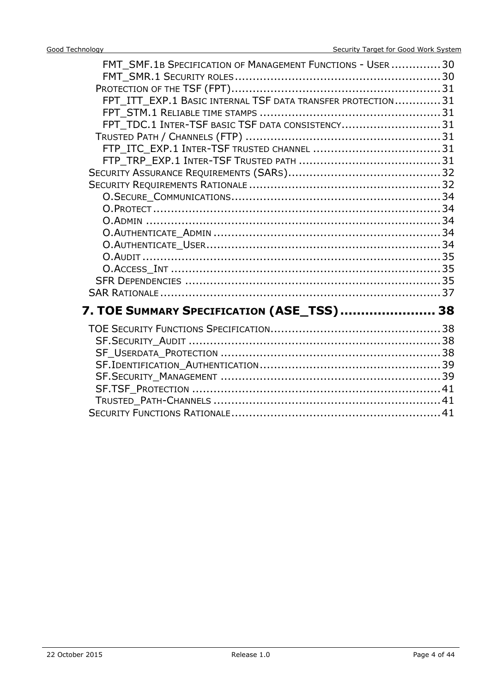| FMT_SMF.1B SPECIFICATION OF MANAGEMENT FUNCTIONS - USER  30<br>FPT ITT EXP.1 BASIC INTERNAL TSF DATA TRANSFER PROTECTION31<br>FPT_TDC.1 INTER-TSF BASIC TSF DATA CONSISTENCY31 |  |
|--------------------------------------------------------------------------------------------------------------------------------------------------------------------------------|--|
|                                                                                                                                                                                |  |
|                                                                                                                                                                                |  |
| 7. TOE SUMMARY SPECIFICATION (ASE_TSS)  38                                                                                                                                     |  |
|                                                                                                                                                                                |  |
|                                                                                                                                                                                |  |
|                                                                                                                                                                                |  |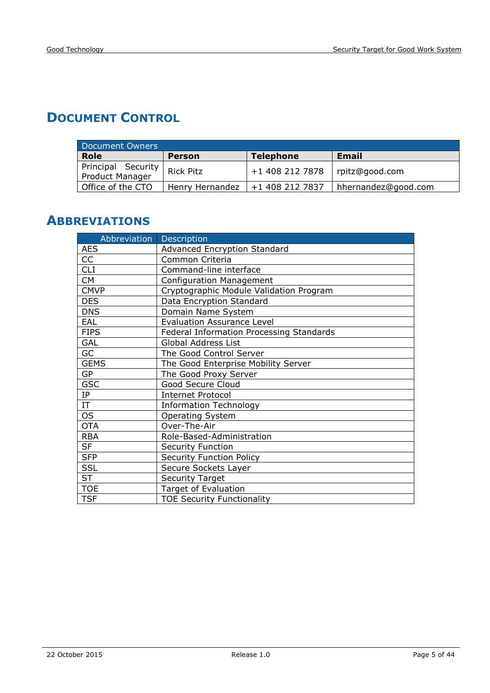## **DOCUMENT CONTROL**

| Document Owners                       |                  |                  |                     |  |  |  |  |  |  |
|---------------------------------------|------------------|------------------|---------------------|--|--|--|--|--|--|
| <b>Role</b>                           | <b>Person</b>    | <b>Telephone</b> | <b>Email</b>        |  |  |  |  |  |  |
| Principal Security<br>Product Manager | <b>Rick Pitz</b> | +1 408 212 7878  | rpitz@good.com      |  |  |  |  |  |  |
| Office of the CTO                     | Henry Hernandez  | +1 408 212 7837  | hhernandez@good.com |  |  |  |  |  |  |

## **ABBREVIATIONS**

| Abbreviation | Description                              |
|--------------|------------------------------------------|
| <b>AES</b>   | Advanced Encryption Standard             |
| CC           | Common Criteria                          |
| <b>CLI</b>   | Command-line interface                   |
| <b>CM</b>    | <b>Configuration Management</b>          |
| <b>CMVP</b>  | Cryptographic Module Validation Program  |
| <b>DES</b>   | Data Encryption Standard                 |
| <b>DNS</b>   | Domain Name System                       |
| EAL          | <b>Evaluation Assurance Level</b>        |
| <b>FIPS</b>  | Federal Information Processing Standards |
| <b>GAL</b>   | Global Address List                      |
| GC           | The Good Control Server                  |
| <b>GEMS</b>  | The Good Enterprise Mobility Server      |
| <b>GP</b>    | The Good Proxy Server                    |
| <b>GSC</b>   | Good Secure Cloud                        |
| IP           | <b>Internet Protocol</b>                 |
| IT           | <b>Information Technology</b>            |
| <b>OS</b>    | <b>Operating System</b>                  |
| <b>OTA</b>   | Over-The-Air                             |
| <b>RBA</b>   | Role-Based-Administration                |
| <b>SF</b>    | <b>Security Function</b>                 |
| <b>SFP</b>   | <b>Security Function Policy</b>          |
| <b>SSL</b>   | Secure Sockets Layer                     |
| <b>ST</b>    | <b>Security Target</b>                   |
| <b>TOE</b>   | <b>Target of Evaluation</b>              |
| <b>TSF</b>   | <b>TOE Security Functionality</b>        |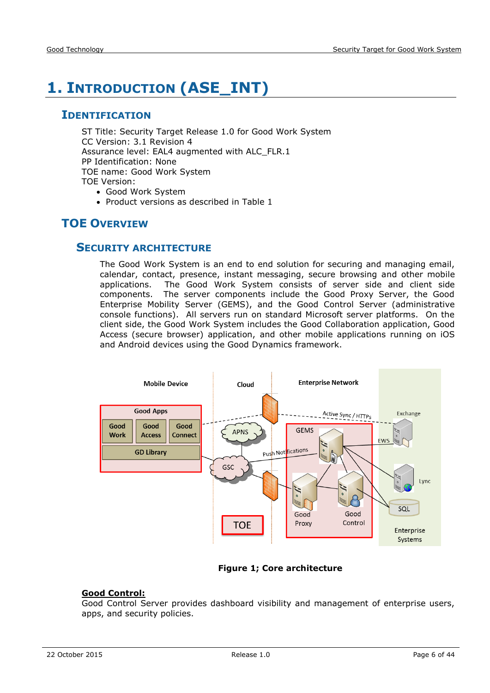## <span id="page-5-0"></span>**1. INTRODUCTION (ASE\_INT)**

#### <span id="page-5-1"></span>**IDENTIFICATION**

ST Title: Security Target Release 1.0 for Good Work System CC Version: 3.1 Revision 4 Assurance level: EAL4 augmented with ALC\_FLR.1 PP Identification: None TOE name: Good Work System TOE Version:

- Good Work System
- Product versions as described in Table 1

## <span id="page-5-3"></span><span id="page-5-2"></span>**TOE OVERVIEW**

#### **SECURITY ARCHITECTURE**

The Good Work System is an end to end solution for securing and managing email, calendar, contact, presence, instant messaging, secure browsing and other mobile applications. The Good Work System consists of server side and client side components. The server components include the Good Proxy Server, the Good Enterprise Mobility Server (GEMS), and the Good Control Server (administrative console functions). All servers run on standard Microsoft server platforms. On the client side, the Good Work System includes the Good Collaboration application, Good Access (secure browser) application, and other mobile applications running on iOS and Android devices using the Good Dynamics framework.



#### **Figure 1; Core architecture**

#### **Good Control:**

Good Control Server provides dashboard visibility and management of enterprise users, apps, and security policies.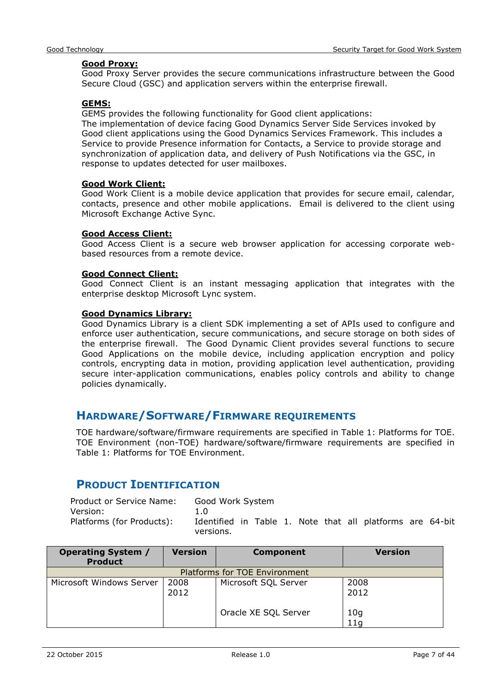#### **Good Proxy:**

Good Proxy Server provides the secure communications infrastructure between the Good Secure Cloud (GSC) and application servers within the enterprise firewall.

#### **GEMS:**

GEMS provides the following functionality for Good client applications:

The implementation of device facing Good Dynamics Server Side Services invoked by Good client applications using the Good Dynamics Services Framework. This includes a Service to provide Presence information for Contacts, a Service to provide storage and synchronization of application data, and delivery of Push Notifications via the GSC, in response to updates detected for user mailboxes.

#### **Good Work Client:**

Good Work Client is a mobile device application that provides for secure email, calendar, contacts, presence and other mobile applications. Email is delivered to the client using Microsoft Exchange Active Sync.

#### **Good Access Client:**

Good Access Client is a secure web browser application for accessing corporate webbased resources from a remote device.

#### **Good Connect Client:**

Good Connect Client is an instant messaging application that integrates with the enterprise desktop Microsoft Lync system.

#### **Good Dynamics Library:**

Good Dynamics Library is a client SDK implementing a set of APIs used to configure and enforce user authentication, secure communications, and secure storage on both sides of the enterprise firewall. The Good Dynamic Client provides several functions to secure Good Applications on the mobile device, including application encryption and policy controls, encrypting data in motion, providing application level authentication, providing secure inter-application communications, enables policy controls and ability to change policies dynamically.

#### <span id="page-6-0"></span>**HARDWARE/SOFTWARE/FIRMWARE REQUIREMENTS**

TOE hardware/software/firmware requirements are specified in Table 1: Platforms for TOE. TOE Environment (non-TOE) hardware/software/firmware requirements are specified in Table 1: Platforms for TOE Environment.

## <span id="page-6-1"></span>**PRODUCT IDENTIFICATION**

| Product or Service Name:  | Good Work System |  |  |  |                                                           |  |
|---------------------------|------------------|--|--|--|-----------------------------------------------------------|--|
| Version:                  | 1.0              |  |  |  |                                                           |  |
| Platforms (for Products): | versions.        |  |  |  | Identified in Table 1. Note that all platforms are 64-bit |  |

| <b>Operating System /</b><br><b>Product</b> | <b>Version</b> | <b>Component</b>              | <b>Version</b>         |
|---------------------------------------------|----------------|-------------------------------|------------------------|
|                                             |                | Platforms for TOE Environment |                        |
| Microsoft Windows Server                    | 2008<br>2012   | Microsoft SQL Server          | 2008<br>2012           |
|                                             |                | Oracle XE SQL Server          | 10 <sub>g</sub><br>11q |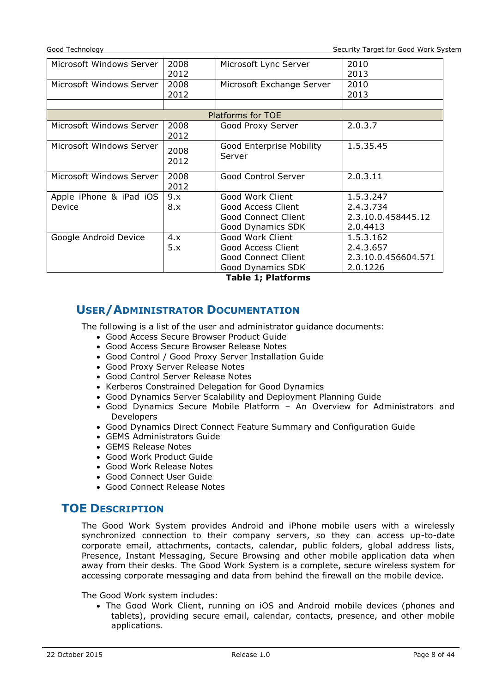Good Technology Security Target for Good Work System

| Microsoft Windows Server | 2008                     | Microsoft Lync Server      | 2010                |  |  |  |  |
|--------------------------|--------------------------|----------------------------|---------------------|--|--|--|--|
|                          | 2012                     |                            | 2013                |  |  |  |  |
| Microsoft Windows Server | 2008                     | Microsoft Exchange Server  | 2010                |  |  |  |  |
|                          | 2012                     |                            | 2013                |  |  |  |  |
|                          |                          |                            |                     |  |  |  |  |
| Platforms for TOE        |                          |                            |                     |  |  |  |  |
| Microsoft Windows Server | 2008                     | Good Proxy Server          | 2.0.3.7             |  |  |  |  |
|                          | 2012                     |                            |                     |  |  |  |  |
| Microsoft Windows Server | Good Enterprise Mobility |                            | 1.5.35.45           |  |  |  |  |
|                          | 2008<br>2012             | Server                     |                     |  |  |  |  |
|                          |                          |                            |                     |  |  |  |  |
| Microsoft Windows Server | 2008                     | Good Control Server        | 2.0.3.11            |  |  |  |  |
|                          | 2012                     |                            |                     |  |  |  |  |
| Apple iPhone & iPad iOS  | 9.x                      | Good Work Client           | 1.5.3.247           |  |  |  |  |
| Device                   | 8.x                      | Good Access Client         | 2.4.3.734           |  |  |  |  |
|                          |                          | <b>Good Connect Client</b> | 2.3.10.0.458445.12  |  |  |  |  |
|                          |                          | Good Dynamics SDK          | 2.0.4413            |  |  |  |  |
| Google Android Device    | 4.x                      | Good Work Client           | 1.5.3.162           |  |  |  |  |
|                          | 5.x                      | Good Access Client         | 2.4.3.657           |  |  |  |  |
|                          |                          | Good Connect Client        | 2.3.10.0.456604.571 |  |  |  |  |
|                          |                          | Good Dynamics SDK          | 2.0.1226            |  |  |  |  |

**Table 1; Platforms**

#### <span id="page-7-0"></span>**USER/ADMINISTRATOR DOCUMENTATION**

The following is a list of the user and administrator guidance documents:

- Good Access Secure Browser Product Guide
- Good Access Secure Browser Release Notes
- Good Control / Good Proxy Server Installation Guide
- Good Proxy Server Release Notes
- Good Control Server Release Notes
- Kerberos Constrained Delegation for Good Dynamics
- Good Dynamics Server Scalability and Deployment Planning Guide
- Good Dynamics Secure Mobile Platform An Overview for Administrators and Developers
- Good Dynamics Direct Connect Feature Summary and Configuration Guide
- GEMS Administrators Guide
- GEMS Release Notes
- Good Work Product Guide
- Good Work Release Notes
- Good Connect User Guide
- Good Connect Release Notes

#### <span id="page-7-1"></span>**TOE DESCRIPTION**

The Good Work System provides Android and iPhone mobile users with a wirelessly synchronized connection to their company servers, so they can access up-to-date corporate email, attachments, contacts, calendar, public folders, global address lists, Presence, Instant Messaging, Secure Browsing and other mobile application data when away from their desks. The Good Work System is a complete, secure wireless system for accessing corporate messaging and data from behind the firewall on the mobile device.

The Good Work system includes:

• The Good Work Client, running on iOS and Android mobile devices (phones and tablets), providing secure email, calendar, contacts, presence, and other mobile applications.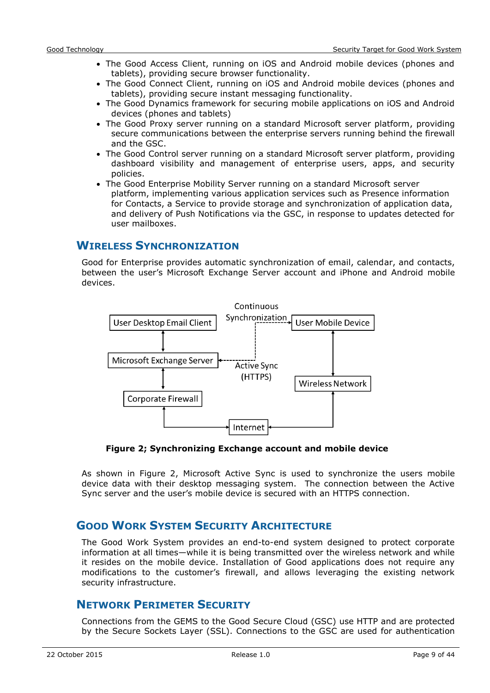- The Good Access Client, running on iOS and Android mobile devices (phones and tablets), providing secure browser functionality.
- The Good Connect Client, running on iOS and Android mobile devices (phones and tablets), providing secure instant messaging functionality.
- The Good Dynamics framework for securing mobile applications on iOS and Android devices (phones and tablets)
- The Good Proxy server running on a standard Microsoft server platform, providing secure communications between the enterprise servers running behind the firewall and the GSC.
- The Good Control server running on a standard Microsoft server platform, providing dashboard visibility and management of enterprise users, apps, and security policies.
- The Good Enterprise Mobility Server running on a standard Microsoft server platform, implementing various application services such as Presence information for Contacts, a Service to provide storage and synchronization of application data, and delivery of Push Notifications via the GSC, in response to updates detected for user mailboxes.

#### <span id="page-8-0"></span>**WIRELESS SYNCHRONIZATION**

Good for Enterprise provides automatic synchronization of email, calendar, and contacts, between the user's Microsoft Exchange Server account and iPhone and Android mobile devices.



**Figure 2; Synchronizing Exchange account and mobile device**

As shown in Figure 2, Microsoft Active Sync is used to synchronize the users mobile device data with their desktop messaging system. The connection between the Active Sync server and the user's mobile device is secured with an HTTPS connection.

#### <span id="page-8-1"></span>**GOOD WORK SYSTEM SECURITY ARCHITECTURE**

The Good Work System provides an end-to-end system designed to protect corporate information at all times—while it is being transmitted over the wireless network and while it resides on the mobile device. Installation of Good applications does not require any modifications to the customer's firewall, and allows leveraging the existing network security infrastructure.

#### <span id="page-8-2"></span>**NETWORK PERIMETER SECURITY**

Connections from the GEMS to the Good Secure Cloud (GSC) use HTTP and are protected by the Secure Sockets Layer (SSL). Connections to the GSC are used for authentication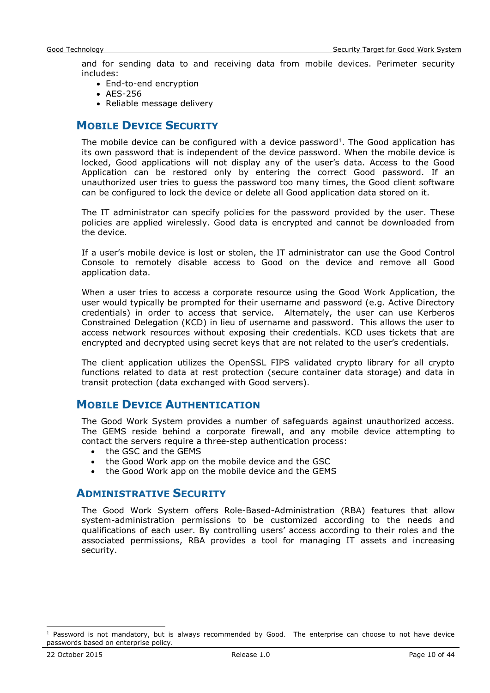and for sending data to and receiving data from mobile devices. Perimeter security includes:

- End-to-end encryption
- AES-256
- Reliable message delivery

#### <span id="page-9-0"></span>**MOBILE DEVICE SECURITY**

The mobile device can be configured with a device password<sup>1</sup>. The Good application has its own password that is independent of the device password. When the mobile device is locked, Good applications will not display any of the user's data. Access to the Good Application can be restored only by entering the correct Good password. If an unauthorized user tries to guess the password too many times, the Good client software can be configured to lock the device or delete all Good application data stored on it.

The IT administrator can specify policies for the password provided by the user. These policies are applied wirelessly. Good data is encrypted and cannot be downloaded from the device.

If a user's mobile device is lost or stolen, the IT administrator can use the Good Control Console to remotely disable access to Good on the device and remove all Good application data.

When a user tries to access a corporate resource using the Good Work Application, the user would typically be prompted for their username and password (e.g. Active Directory credentials) in order to access that service. Alternately, the user can use Kerberos Constrained Delegation (KCD) in lieu of username and password. This allows the user to access network resources without exposing their credentials. KCD uses tickets that are encrypted and decrypted using secret keys that are not related to the user's credentials.

The client application utilizes the OpenSSL FIPS validated crypto library for all crypto functions related to data at rest protection (secure container data storage) and data in transit protection (data exchanged with Good servers).

#### <span id="page-9-1"></span>**MOBILE DEVICE AUTHENTICATION**

The Good Work System provides a number of safeguards against unauthorized access. The GEMS reside behind a corporate firewall, and any mobile device attempting to contact the servers require a three-step authentication process:

- the GSC and the GEMS
- the Good Work app on the mobile device and the GSC
- the Good Work app on the mobile device and the GEMS

#### <span id="page-9-2"></span>**ADMINISTRATIVE SECURITY**

The Good Work System offers Role-Based-Administration (RBA) features that allow system-administration permissions to be customized according to the needs and qualifications of each user. By controlling users' access according to their roles and the associated permissions, RBA provides a tool for managing IT assets and increasing security.

-

 $1$  Password is not mandatory, but is always recommended by Good. The enterprise can choose to not have device passwords based on enterprise policy.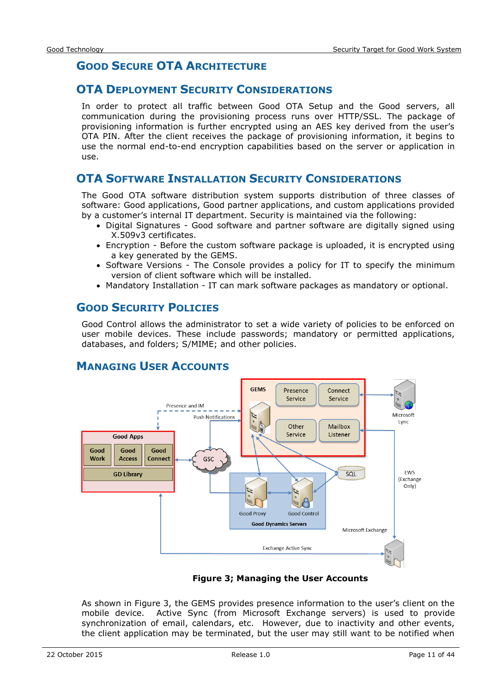## <span id="page-10-0"></span>**GOOD SECURE OTA ARCHITECTURE**

#### <span id="page-10-1"></span>**OTA DEPLOYMENT SECURITY CONSIDERATIONS**

In order to protect all traffic between Good OTA Setup and the Good servers, all communication during the provisioning process runs over HTTP/SSL. The package of provisioning information is further encrypted using an AES key derived from the user's OTA PIN. After the client receives the package of provisioning information, it begins to use the normal end-to-end encryption capabilities based on the server or application in use.

#### <span id="page-10-2"></span>**OTA SOFTWARE INSTALLATION SECURITY CONSIDERATIONS**

The Good OTA software distribution system supports distribution of three classes of software: Good applications, Good partner applications, and custom applications provided by a customer's internal IT department. Security is maintained via the following:

- Digital Signatures Good software and partner software are digitally signed using X.509v3 certificates.
- Encryption Before the custom software package is uploaded, it is encrypted using a key generated by the GEMS.
- Software Versions The Console provides a policy for IT to specify the minimum version of client software which will be installed.
- Mandatory Installation IT can mark software packages as mandatory or optional.

#### <span id="page-10-3"></span>**GOOD SECURITY POLICIES**

Good Control allows the administrator to set a wide variety of policies to be enforced on user mobile devices. These include passwords; mandatory or permitted applications, databases, and folders; S/MIME; and other policies.

#### <span id="page-10-4"></span>**MANAGING USER ACCOUNTS**



#### **Figure 3; Managing the User Accounts**

As shown in Figure 3, the GEMS provides presence information to the user's client on the mobile device. Active Sync (from Microsoft Exchange servers) is used to provide synchronization of email, calendars, etc. However, due to inactivity and other events, the client application may be terminated, but the user may still want to be notified when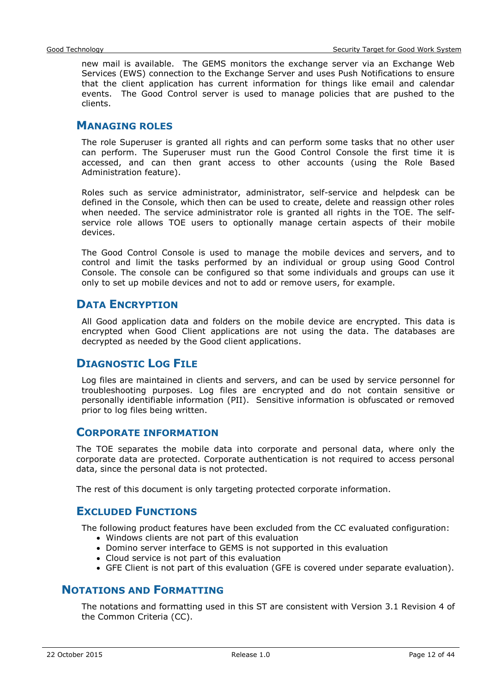new mail is available. The GEMS monitors the exchange server via an Exchange Web Services (EWS) connection to the Exchange Server and uses Push Notifications to ensure that the client application has current information for things like email and calendar events. The Good Control server is used to manage policies that are pushed to the clients.

#### <span id="page-11-0"></span>**MANAGING ROLES**

The role Superuser is granted all rights and can perform some tasks that no other user can perform. The Superuser must run the Good Control Console the first time it is accessed, and can then grant access to other accounts (using the Role Based Administration feature).

Roles such as service administrator, administrator, self-service and helpdesk can be defined in the Console, which then can be used to create, delete and reassign other roles when needed. The service administrator role is granted all rights in the TOE. The selfservice role allows TOE users to optionally manage certain aspects of their mobile devices.

The Good Control Console is used to manage the mobile devices and servers, and to control and limit the tasks performed by an individual or group using Good Control Console. The console can be configured so that some individuals and groups can use it only to set up mobile devices and not to add or remove users, for example.

#### <span id="page-11-1"></span>**DATA ENCRYPTION**

All Good application data and folders on the mobile device are encrypted. This data is encrypted when Good Client applications are not using the data. The databases are decrypted as needed by the Good client applications.

## <span id="page-11-2"></span>**DIAGNOSTIC LOG FILE**

Log files are maintained in clients and servers, and can be used by service personnel for troubleshooting purposes. Log files are encrypted and do not contain sensitive or personally identifiable information (PII). Sensitive information is obfuscated or removed prior to log files being written.

#### <span id="page-11-3"></span>**CORPORATE INFORMATION**

The TOE separates the mobile data into corporate and personal data, where only the corporate data are protected. Corporate authentication is not required to access personal data, since the personal data is not protected.

<span id="page-11-4"></span>The rest of this document is only targeting protected corporate information.

#### **EXCLUDED FUNCTIONS**

The following product features have been excluded from the CC evaluated configuration:

- Windows clients are not part of this evaluation
- Domino server interface to GEMS is not supported in this evaluation
- Cloud service is not part of this evaluation
- GFE Client is not part of this evaluation (GFE is covered under separate evaluation).

#### <span id="page-11-5"></span>**NOTATIONS AND FORMATTING**

The notations and formatting used in this ST are consistent with Version 3.1 Revision 4 of the Common Criteria (CC).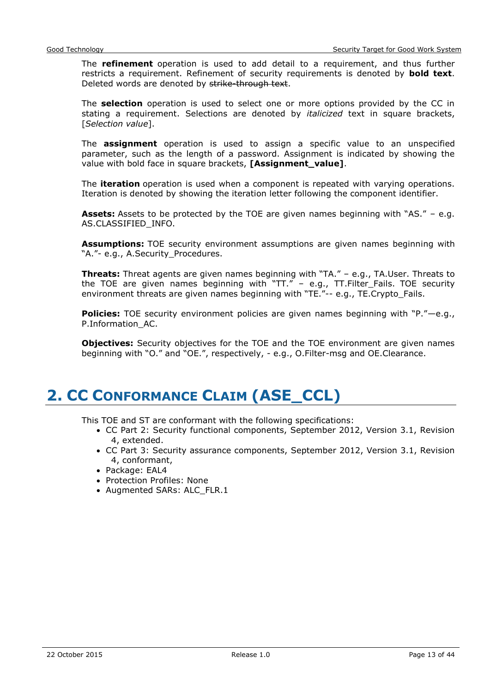The **refinement** operation is used to add detail to a requirement, and thus further restricts a requirement. Refinement of security requirements is denoted by **bold text**. Deleted words are denoted by strike-through text.

The **selection** operation is used to select one or more options provided by the CC in stating a requirement. Selections are denoted by *italicized* text in square brackets, [*Selection value*].

The **assignment** operation is used to assign a specific value to an unspecified parameter, such as the length of a password. Assignment is indicated by showing the value with bold face in square brackets, **[Assignment\_value]**.

The **iteration** operation is used when a component is repeated with varying operations. Iteration is denoted by showing the iteration letter following the component identifier.

**Assets:** Assets to be protected by the TOE are given names beginning with "AS." – e.g. AS.CLASSIFIED\_INFO.

**Assumptions:** TOE security environment assumptions are given names beginning with "A."- e.g., A.Security Procedures.

**Threats:** Threat agents are given names beginning with "TA." – e.g., TA.User. Threats to the TOE are given names beginning with "TT." – e.g., TT.Filter\_Fails. TOE security environment threats are given names beginning with "TE."-- e.g., TE.Crypto\_Fails.

**Policies:** TOE security environment policies are given names beginning with "P."—e.g., P.Information\_AC.

**Objectives:** Security objectives for the TOE and the TOE environment are given names beginning with "O." and "OE.", respectively, - e.g., O.Filter-msg and OE.Clearance.

## <span id="page-12-0"></span>**2. CC CONFORMANCE CLAIM (ASE\_CCL)**

This TOE and ST are conformant with the following specifications:

- CC Part 2: Security functional components, September 2012, Version 3.1, Revision 4, extended.
- CC Part 3: Security assurance components, September 2012, Version 3.1, Revision 4, conformant,
- Package: EAL4
- Protection Profiles: None
- Augmented SARs: ALC\_FLR.1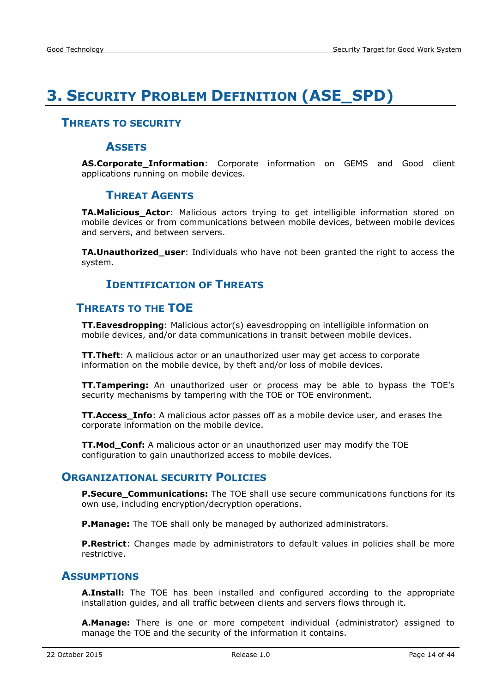## <span id="page-13-0"></span>**3. SECURITY PROBLEM DEFINITION (ASE\_SPD)**

#### <span id="page-13-2"></span><span id="page-13-1"></span>**THREATS TO SECURITY**

#### **ASSETS**

<span id="page-13-3"></span>**AS.Corporate\_Information**: Corporate information on GEMS and Good client applications running on mobile devices.

#### **THREAT AGENTS**

**TA.Malicious\_Actor**: Malicious actors trying to get intelligible information stored on mobile devices or from communications between mobile devices, between mobile devices and servers, and between servers.

<span id="page-13-4"></span>**TA.Unauthorized\_user**: Individuals who have not been granted the right to access the system.

#### **IDENTIFICATION OF THREATS**

#### <span id="page-13-5"></span>**THREATS TO THE TOE**

**TT.Eavesdropping**: Malicious actor(s) eavesdropping on intelligible information on mobile devices, and/or data communications in transit between mobile devices.

**TT.Theft**: A malicious actor or an unauthorized user may get access to corporate information on the mobile device, by theft and/or loss of mobile devices.

**TT.Tampering:** An unauthorized user or process may be able to bypass the TOE's security mechanisms by tampering with the TOE or TOE environment.

**TT.Access\_Info**: A malicious actor passes off as a mobile device user, and erases the corporate information on the mobile device.

**TT.Mod\_Conf:** A malicious actor or an unauthorized user may modify the TOE configuration to gain unauthorized access to mobile devices.

#### <span id="page-13-6"></span>**ORGANIZATIONAL SECURITY POLICIES**

**P.Secure Communications:** The TOE shall use secure communications functions for its own use, including encryption/decryption operations.

**P.Manage:** The TOE shall only be managed by authorized administrators.

**P.Restrict**: Changes made by administrators to default values in policies shall be more restrictive.

#### <span id="page-13-7"></span>**ASSUMPTIONS**

**A.Install:** The TOE has been installed and configured according to the appropriate installation guides, and all traffic between clients and servers flows through it.

**A.Manage:** There is one or more competent individual (administrator) assigned to manage the TOE and the security of the information it contains.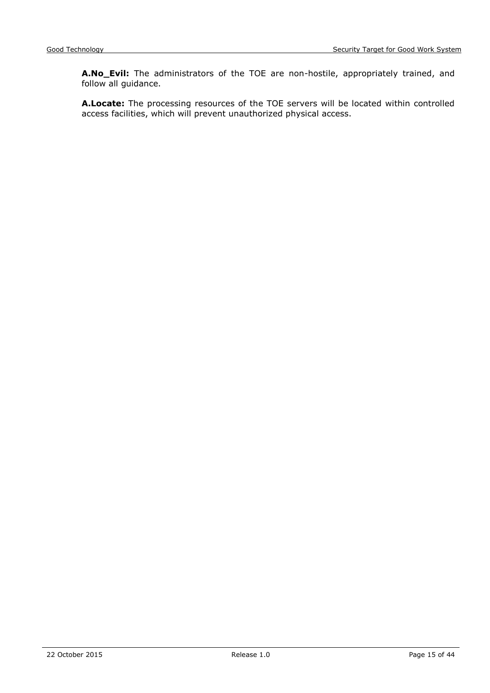**A.No\_Evil:** The administrators of the TOE are non-hostile, appropriately trained, and follow all guidance.

**A.Locate:** The processing resources of the TOE servers will be located within controlled access facilities, which will prevent unauthorized physical access.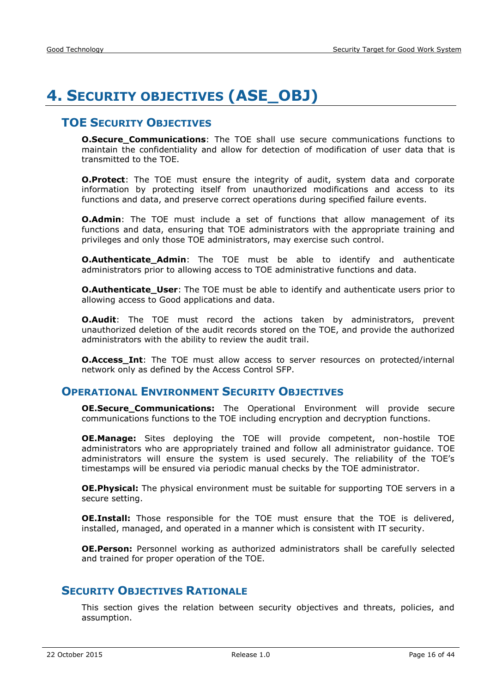## <span id="page-15-0"></span>**4. SECURITY OBJECTIVES (ASE\_OBJ)**

## <span id="page-15-1"></span>**TOE SECURITY OBJECTIVES**

**O.Secure\_Communications**: The TOE shall use secure communications functions to maintain the confidentiality and allow for detection of modification of user data that is transmitted to the TOE.

**O.Protect**: The TOE must ensure the integrity of audit, system data and corporate information by protecting itself from unauthorized modifications and access to its functions and data, and preserve correct operations during specified failure events.

**O.Admin**: The TOE must include a set of functions that allow management of its functions and data, ensuring that TOE administrators with the appropriate training and privileges and only those TOE administrators, may exercise such control.

**O.Authenticate\_Admin**: The TOE must be able to identify and authenticate administrators prior to allowing access to TOE administrative functions and data.

**O.Authenticate\_User**: The TOE must be able to identify and authenticate users prior to allowing access to Good applications and data.

**O.Audit:** The TOE must record the actions taken by administrators, prevent unauthorized deletion of the audit records stored on the TOE, and provide the authorized administrators with the ability to review the audit trail.

**O.Access Int**: The TOE must allow access to server resources on protected/internal network only as defined by the Access Control SFP.

#### <span id="page-15-2"></span>**OPERATIONAL ENVIRONMENT SECURITY OBJECTIVES**

**OE.Secure\_Communications:** The Operational Environment will provide secure communications functions to the TOE including encryption and decryption functions.

**OE.Manage:** Sites deploying the TOE will provide competent, non-hostile TOE administrators who are appropriately trained and follow all administrator guidance. TOE administrators will ensure the system is used securely. The reliability of the TOE's timestamps will be ensured via periodic manual checks by the TOE administrator.

**OE.Physical:** The physical environment must be suitable for supporting TOE servers in a secure setting.

**OE.Install:** Those responsible for the TOE must ensure that the TOE is delivered, installed, managed, and operated in a manner which is consistent with IT security.

**OE.Person:** Personnel working as authorized administrators shall be carefully selected and trained for proper operation of the TOE.

#### <span id="page-15-3"></span>**SECURITY OBJECTIVES RATIONALE**

This section gives the relation between security objectives and threats, policies, and assumption.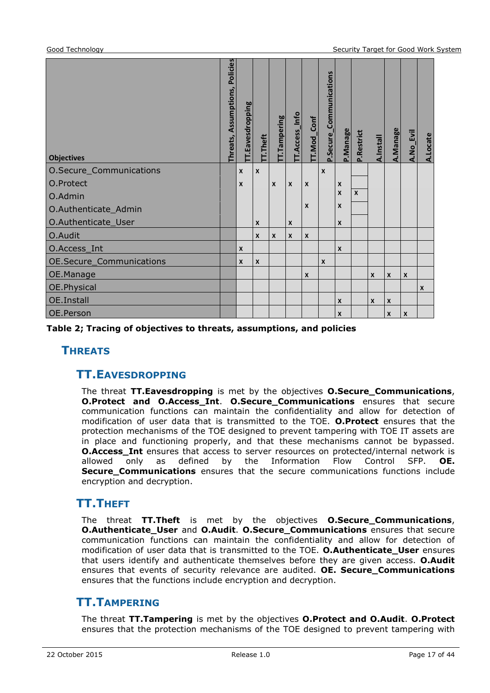| <b>Objectives</b>        | Policies<br>Assumptions,<br>Threats, | Eavesdropping    | T.Theft          | T.Tampering | TT.Access_Info | T.Mod_Conf   | P.Secure_Communications | P.Manage         | P.Restrict   | <b>A.Install</b> | A.Manage         | A.No_Evil        | A.Locate     |
|--------------------------|--------------------------------------|------------------|------------------|-------------|----------------|--------------|-------------------------|------------------|--------------|------------------|------------------|------------------|--------------|
| O.Secure_Communications  |                                      | $\boldsymbol{x}$ | $\boldsymbol{x}$ |             |                |              | X                       |                  |              |                  |                  |                  |              |
| O.Protect                |                                      | X                |                  | X           | X              | X            |                         | X                |              |                  |                  |                  |              |
| O.Admin                  |                                      |                  |                  |             |                |              |                         | $\boldsymbol{x}$ | $\mathbf{x}$ |                  |                  |                  |              |
| O.Authenticate_Admin     |                                      |                  |                  |             |                | $\mathbf{x}$ |                         | $\boldsymbol{x}$ |              |                  |                  |                  |              |
| O.Authenticate_User      |                                      |                  | X                |             | $\mathsf{x}$   |              |                         | X                |              |                  |                  |                  |              |
| O.Audit                  |                                      |                  | $\mathsf{x}$     | X           | X              | X            |                         |                  |              |                  |                  |                  |              |
| O.Access_Int             |                                      | X                |                  |             |                |              |                         | $\boldsymbol{x}$ |              |                  |                  |                  |              |
| OE.Secure_Communications |                                      | $\boldsymbol{x}$ | $\boldsymbol{x}$ |             |                |              | $\mathsf{x}$            |                  |              |                  |                  |                  |              |
| OE.Manage                |                                      |                  |                  |             |                | X            |                         |                  |              | $\mathsf{x}$     | $\boldsymbol{x}$ | $\mathsf{x}$     |              |
| OE.Physical              |                                      |                  |                  |             |                |              |                         |                  |              |                  |                  |                  | $\mathsf{x}$ |
| <b>OE.Install</b>        |                                      |                  |                  |             |                |              |                         | $\mathsf{x}$     |              | $\mathsf{x}$     | $\boldsymbol{x}$ |                  |              |
| OE.Person                |                                      |                  |                  |             |                |              |                         | $\pmb{\chi}$     |              |                  | $\pmb{\chi}$     | $\boldsymbol{x}$ |              |

<span id="page-16-0"></span>**Table 2; Tracing of objectives to threats, assumptions, and policies**

#### <span id="page-16-1"></span>**THREATS**

#### **TT.EAVESDROPPING**

The threat **TT.Eavesdropping** is met by the objectives **O.Secure\_Communications**, **O.Protect and O.Access\_Int**. **O.Secure\_Communications** ensures that secure communication functions can maintain the confidentiality and allow for detection of modification of user data that is transmitted to the TOE. **O.Protect** ensures that the protection mechanisms of the TOE designed to prevent tampering with TOE IT assets are in place and functioning properly, and that these mechanisms cannot be bypassed. **O.Access Int** ensures that access to server resources on protected/internal network is allowed only as defined by the Information Flow Control SFP. **OE. Secure\_Communications** ensures that the secure communications functions include encryption and decryption.

## <span id="page-16-2"></span>**TT.THEFT**

The threat **TT.Theft** is met by the objectives **O.Secure\_Communications**, **O.Authenticate\_User** and **O.Audit**. **O.Secure\_Communications** ensures that secure communication functions can maintain the confidentiality and allow for detection of modification of user data that is transmitted to the TOE. **O.Authenticate\_User** ensures that users identify and authenticate themselves before they are given access. **O.Audit**  ensures that events of security relevance are audited. **OE. Secure\_Communications** ensures that the functions include encryption and decryption.

## <span id="page-16-3"></span>**TT.TAMPERING**

The threat **TT.Tampering** is met by the objectives **O.Protect and O.Audit**. **O.Protect** ensures that the protection mechanisms of the TOE designed to prevent tampering with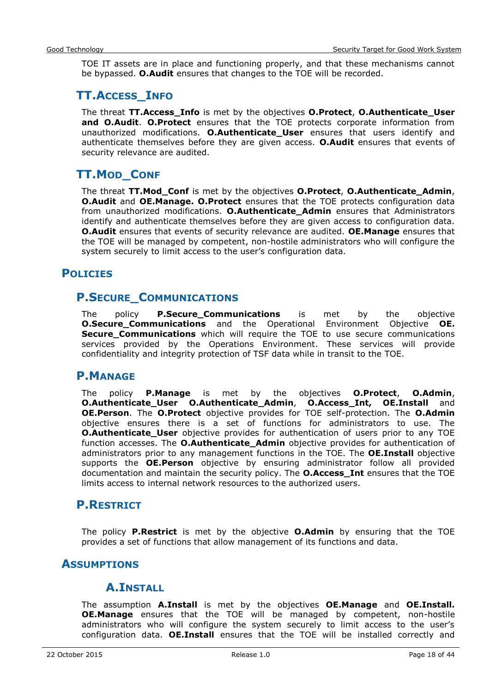TOE IT assets are in place and functioning properly, and that these mechanisms cannot be bypassed. **O.Audit** ensures that changes to the TOE will be recorded.

## <span id="page-17-0"></span>**TT.ACCESS\_INFO**

The threat **TT.Access\_Info** is met by the objectives **O.Protect**, **O.Authenticate\_User and O.Audit**. **O.Protect** ensures that the TOE protects corporate information from unauthorized modifications. **O.Authenticate\_User** ensures that users identify and authenticate themselves before they are given access. **O.Audit** ensures that events of security relevance are audited.

## <span id="page-17-1"></span>**TT.MOD\_CONF**

The threat **TT.Mod\_Conf** is met by the objectives **O.Protect**, **O.Authenticate\_Admin**, **O.Audit** and **OE.Manage. O.Protect** ensures that the TOE protects configuration data from unauthorized modifications. **O.Authenticate\_Admin** ensures that Administrators identify and authenticate themselves before they are given access to configuration data. **O.Audit** ensures that events of security relevance are audited. **OE.Manage** ensures that the TOE will be managed by competent, non-hostile administrators who will configure the system securely to limit access to the user's configuration data.

## <span id="page-17-3"></span><span id="page-17-2"></span>**POLICIES**

## **P.SECURE\_COMMUNICATIONS**

The policy **P.Secure\_Communications** is met by the objective **O.Secure\_Communications** and the Operational Environment Objective **OE. Secure\_Communications** which will require the TOE to use secure communications services provided by the Operations Environment. These services will provide confidentiality and integrity protection of TSF data while in transit to the TOE.

## <span id="page-17-4"></span>**P.MANAGE**

The policy **P.Manage** is met by the objectives **O.Protect**, **O.Admin**, **O.Authenticate\_User O.Authenticate\_Admin**, **O.Access\_Int, OE.Install** and **OE.Person**. The **O.Protect** objective provides for TOE self-protection. The **O.Admin** objective ensures there is a set of functions for administrators to use. The **O.Authenticate\_User** objective provides for authentication of users prior to any TOE function accesses. The **O.Authenticate\_Admin** objective provides for authentication of administrators prior to any management functions in the TOE. The **OE.Install** objective supports the **OE.Person** objective by ensuring administrator follow all provided documentation and maintain the security policy. The **O.Access\_Int** ensures that the TOE limits access to internal network resources to the authorized users.

## <span id="page-17-5"></span>**P.RESTRICT**

The policy **P.Restrict** is met by the objective **O.Admin** by ensuring that the TOE provides a set of functions that allow management of its functions and data.

## <span id="page-17-7"></span><span id="page-17-6"></span>**ASSUMPTIONS**

## **A.INSTALL**

The assumption **A.Install** is met by the objectives **OE.Manage** and **OE.Install. OE.Manage** ensures that the TOE will be managed by competent, non-hostile administrators who will configure the system securely to limit access to the user's configuration data. **OE.Install** ensures that the TOE will be installed correctly and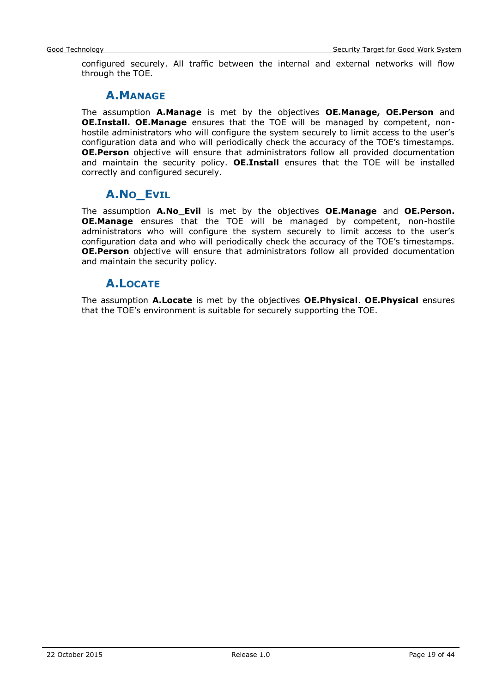<span id="page-18-0"></span>configured securely. All traffic between the internal and external networks will flow through the TOE.

## **A.MANAGE**

The assumption **A.Manage** is met by the objectives **OE.Manage, OE.Person** and **OE.Install. OE.Manage** ensures that the TOE will be managed by competent, nonhostile administrators who will configure the system securely to limit access to the user's configuration data and who will periodically check the accuracy of the TOE's timestamps. **OE.Person** objective will ensure that administrators follow all provided documentation and maintain the security policy. **OE.Install** ensures that the TOE will be installed correctly and configured securely.

## **A.NO\_EVIL**

<span id="page-18-1"></span>The assumption **A.No\_Evil** is met by the objectives **OE.Manage** and **OE.Person. OE.Manage** ensures that the TOE will be managed by competent, non-hostile administrators who will configure the system securely to limit access to the user's configuration data and who will periodically check the accuracy of the TOE's timestamps. **OE.Person** objective will ensure that administrators follow all provided documentation and maintain the security policy.

## **A.LOCATE**

<span id="page-18-2"></span>The assumption **A.Locate** is met by the objectives **OE.Physical**. **OE.Physical** ensures that the TOE's environment is suitable for securely supporting the TOE.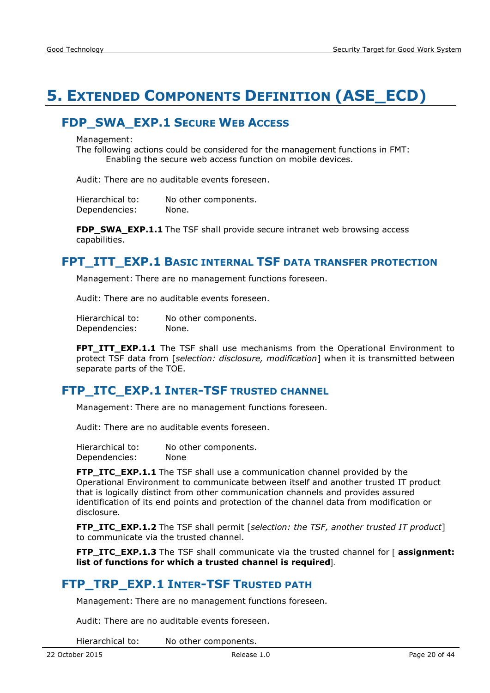## <span id="page-19-0"></span>**5. EXTENDED COMPONENTS DEFINITION (ASE\_ECD)**

## <span id="page-19-1"></span>**FDP\_SWA\_EXP.1 SECURE WEB ACCESS**

Management:

The following actions could be considered for the management functions in FMT: Enabling the secure web access function on mobile devices.

Audit: There are no auditable events foreseen.

Hierarchical to: No other components. Dependencies: None.

**FDP\_SWA\_EXP.1.1** The TSF shall provide secure intranet web browsing access capabilities.

#### <span id="page-19-2"></span>**FPT\_ITT\_EXP.1 BASIC INTERNAL TSF DATA TRANSFER PROTECTION**

Management: There are no management functions foreseen.

Audit: There are no auditable events foreseen.

Hierarchical to: No other components. Dependencies: None.

**FPT ITT EXP.1.1** The TSF shall use mechanisms from the Operational Environment to protect TSF data from [*selection: disclosure, modification*] when it is transmitted between separate parts of the TOE.

## <span id="page-19-3"></span>**FTP\_ITC\_EXP.1 INTER-TSF TRUSTED CHANNEL**

Management: There are no management functions foreseen.

Audit: There are no auditable events foreseen.

Hierarchical to: No other components. Dependencies: None

**FTP\_ITC\_EXP.1.1** The TSF shall use a communication channel provided by the Operational Environment to communicate between itself and another trusted IT product that is logically distinct from other communication channels and provides assured identification of its end points and protection of the channel data from modification or disclosure.

**FTP\_ITC\_EXP.1.2** The TSF shall permit [*selection: the TSF, another trusted IT product*] to communicate via the trusted channel.

**FTP\_ITC\_EXP.1.3** The TSF shall communicate via the trusted channel for [ **assignment: list of functions for which a trusted channel is required**].

## <span id="page-19-4"></span>**FTP\_TRP\_EXP.1 INTER-TSF TRUSTED PATH**

Management: There are no management functions foreseen.

Audit: There are no auditable events foreseen.

Hierarchical to: No other components.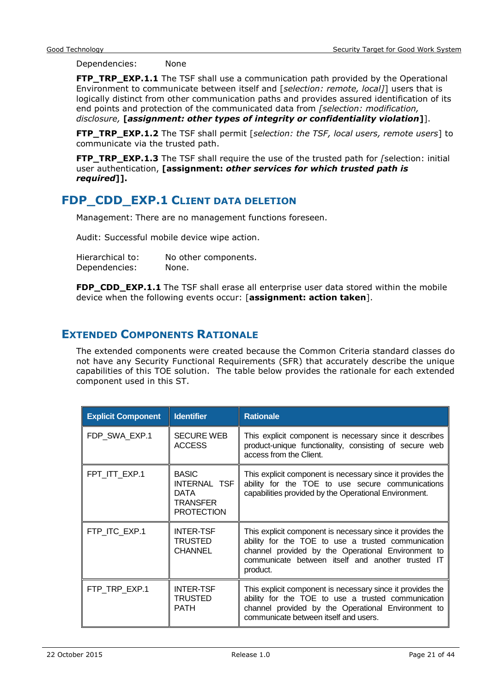Dependencies: None

**FTP\_TRP\_EXP.1.1** The TSF shall use a communication path provided by the Operational Environment to communicate between itself and [*selection: remote, local]*] users that is logically distinct from other communication paths and provides assured identification of its end points and protection of the communicated data from *[selection: modification, disclosure,* **[***assignment: other types of integrity or confidentiality violation***]**].

**FTP\_TRP\_EXP.1.2** The TSF shall permit [*selection: the TSF, local users, remote users*] to communicate via the trusted path.

**FTP\_TRP\_EXP.1.3** The TSF shall require the use of the trusted path for *[*selection: initial user authentication, **[assignment:** *other services for which trusted path is required***]].**

## <span id="page-20-0"></span>**FDP\_CDD\_EXP.1 CLIENT DATA DELETION**

Management: There are no management functions foreseen.

Audit: Successful mobile device wipe action.

| Hierarchical to: | No other components. |
|------------------|----------------------|
| Dependencies:    | None.                |

**FDP\_CDD\_EXP.1.1** The TSF shall erase all enterprise user data stored within the mobile device when the following events occur: [**assignment: action taken**].

#### <span id="page-20-1"></span>**EXTENDED COMPONENTS RATIONALE**

The extended components were created because the Common Criteria standard classes do not have any Security Functional Requirements (SFR) that accurately describe the unique capabilities of this TOE solution. The table below provides the rationale for each extended component used in this ST.

| <b>Explicit Component</b> | <b>Identifier</b>                                                     | <b>Rationale</b>                                                                                                                                                                                                                        |
|---------------------------|-----------------------------------------------------------------------|-----------------------------------------------------------------------------------------------------------------------------------------------------------------------------------------------------------------------------------------|
| FDP SWA EXP.1             | <b>SECURE WEB</b><br><b>ACCESS</b>                                    | This explicit component is necessary since it describes<br>product-unique functionality, consisting of secure web<br>access from the Client.                                                                                            |
| FPT ITT EXP.1             | <b>BASIC</b><br>INTERNAL TSF<br>DATA<br>TRANSFER<br><b>PROTECTION</b> | This explicit component is necessary since it provides the<br>ability for the TOE to use secure communications<br>capabilities provided by the Operational Environment.                                                                 |
| FTP_ITC_EXP.1             | <b>INTER-TSF</b><br><b>TRUSTED</b><br><b>CHANNEL</b>                  | This explicit component is necessary since it provides the<br>ability for the TOE to use a trusted communication<br>channel provided by the Operational Environment to<br>communicate between itself and another trusted IT<br>product. |
| FTP_TRP_EXP.1             | <b>INTER-TSF</b><br>TRUSTED<br><b>PATH</b>                            | This explicit component is necessary since it provides the<br>ability for the TOE to use a trusted communication<br>channel provided by the Operational Environment to<br>communicate between itself and users.                         |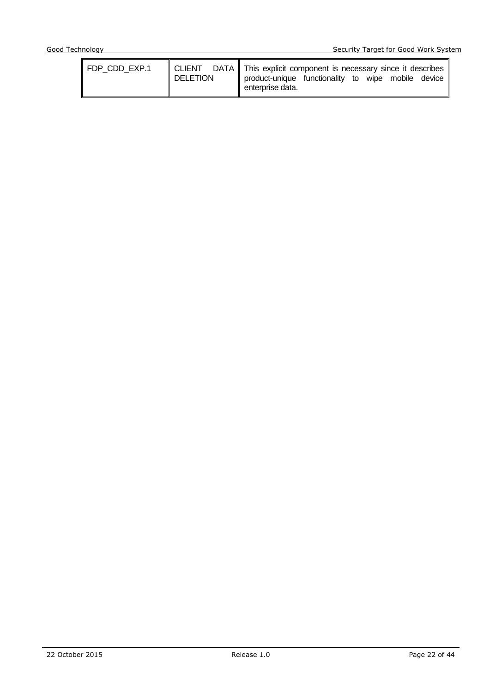| FDP CDD EXP.1 | <b>DELETION</b> |  | CLIENT DATA This explicit component is necessary since it describes<br>product-unique functionality to wipe mobile device<br>enterprise data. |  |  |  |  |
|---------------|-----------------|--|-----------------------------------------------------------------------------------------------------------------------------------------------|--|--|--|--|
|---------------|-----------------|--|-----------------------------------------------------------------------------------------------------------------------------------------------|--|--|--|--|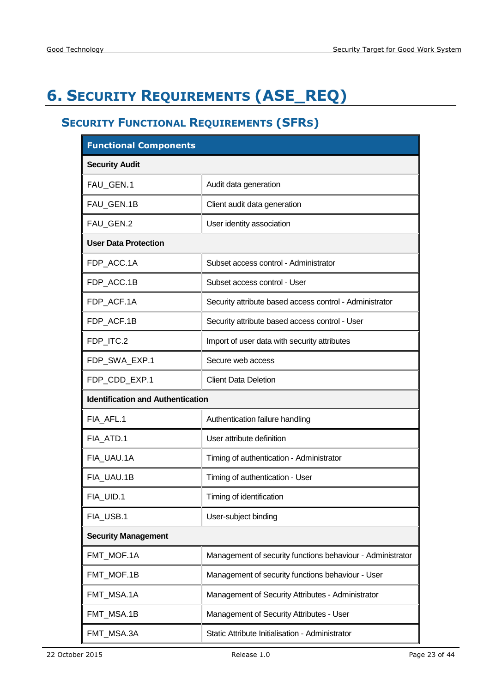## <span id="page-22-0"></span>**6. SECURITY REQUIREMENTS (ASE\_REQ)**

## <span id="page-22-1"></span>**SECURITY FUNCTIONAL REQUIREMENTS (SFRS)**

| <b>Functional Components</b>             |                                                            |
|------------------------------------------|------------------------------------------------------------|
| <b>Security Audit</b>                    |                                                            |
| FAU_GEN.1                                | Audit data generation                                      |
| FAU_GEN.1B                               | Client audit data generation                               |
| FAU GEN.2                                | User identity association                                  |
| <b>User Data Protection</b>              |                                                            |
| FDP_ACC.1A                               | Subset access control - Administrator                      |
| FDP_ACC.1B                               | Subset access control - User                               |
| FDP_ACF.1A                               | Security attribute based access control - Administrator    |
| FDP_ACF.1B                               | Security attribute based access control - User             |
| FDP_ITC.2                                | Import of user data with security attributes               |
| FDP_SWA_EXP.1                            | Secure web access                                          |
| FDP_CDD_EXP.1                            | <b>Client Data Deletion</b>                                |
| <b>Identification and Authentication</b> |                                                            |
| FIA AFL.1                                | Authentication failure handling                            |
| FIA ATD.1                                | User attribute definition                                  |
| FIA UAU.1A                               | Timing of authentication - Administrator                   |
| FIA_UAU.1B                               | Timing of authentication - User                            |
| FIA UID.1                                | Timing of identification                                   |
| FIA USB.1                                | User-subject binding                                       |
| <b>Security Management</b>               |                                                            |
| FMT_MOF.1A                               | Management of security functions behaviour - Administrator |
| FMT_MOF.1B                               | Management of security functions behaviour - User          |
| FMT_MSA.1A                               | Management of Security Attributes - Administrator          |
| FMT_MSA.1B                               | Management of Security Attributes - User                   |
| FMT_MSA.3A                               | Static Attribute Initialisation - Administrator            |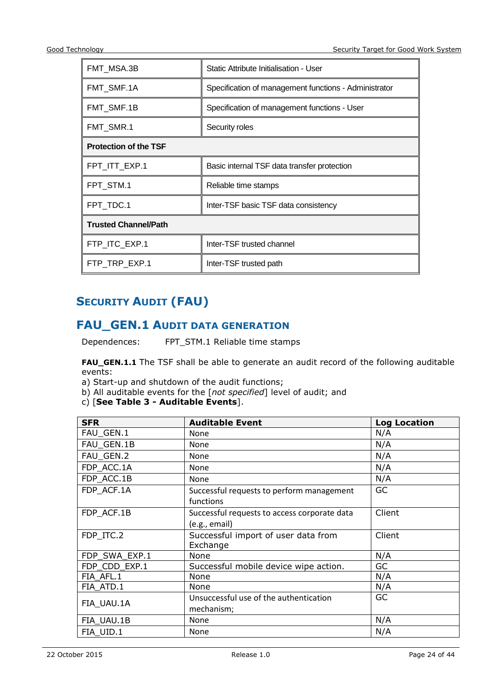| FMT MSA.3B                   | Static Attribute Initialisation - User                |  |
|------------------------------|-------------------------------------------------------|--|
| FMT SMF.1A                   | Specification of management functions - Administrator |  |
| FMT_SMF.1B                   | Specification of management functions - User          |  |
| FMT_SMR.1                    | Security roles                                        |  |
| <b>Protection of the TSF</b> |                                                       |  |
| FPT_ITT_EXP.1                | Basic internal TSF data transfer protection           |  |
| FPT_STM.1                    | Reliable time stamps                                  |  |
| FPT TDC.1                    | Inter-TSF basic TSF data consistency                  |  |
| <b>Trusted Channel/Path</b>  |                                                       |  |
| FTP_ITC_EXP.1                | Inter-TSF trusted channel                             |  |
| FTP_TRP_EXP.1                | Inter-TSF trusted path                                |  |

## <span id="page-23-0"></span>**SECURITY AUDIT (FAU)**

## <span id="page-23-1"></span>**FAU\_GEN.1 AUDIT DATA GENERATION**

Dependences: FPT\_STM.1 Reliable time stamps

**FAU\_GEN.1.1** The TSF shall be able to generate an audit record of the following auditable events:

a) Start-up and shutdown of the audit functions;

- b) All auditable events for the [*not specified*] level of audit; and
- c) [**See Table 3 - [Auditable Events](#page-24-0)**].

| <b>SFR</b>    | <b>Auditable Event</b>                                 | <b>Log Location</b> |
|---------------|--------------------------------------------------------|---------------------|
| FAU_GEN.1     | <b>None</b>                                            | N/A                 |
| FAU GEN.1B    | None                                                   | N/A                 |
| FAU GEN.2     | None                                                   | N/A                 |
| FDP_ACC.1A    | None                                                   | N/A                 |
| FDP ACC.1B    | None                                                   | N/A                 |
| FDP ACF.1A    | Successful requests to perform management<br>functions | GC                  |
| FDP ACF.1B    | Successful requests to access corporate data           | Client              |
|               | (e.g., email)                                          |                     |
| FDP ITC.2     | Successful import of user data from<br>Exchange        | Client              |
| FDP_SWA_EXP.1 | None                                                   | N/A                 |
| FDP CDD EXP.1 | Successful mobile device wipe action.                  | GC                  |
| FIA AFL.1     | None                                                   | N/A                 |
| FIA ATD.1     | None                                                   | N/A                 |
|               | Unsuccessful use of the authentication                 | GC.                 |
| FIA UAU.1A    | mechanism;                                             |                     |
| FIA UAU.1B    | <b>None</b>                                            | N/A                 |
| FIA UID.1     | None                                                   | N/A                 |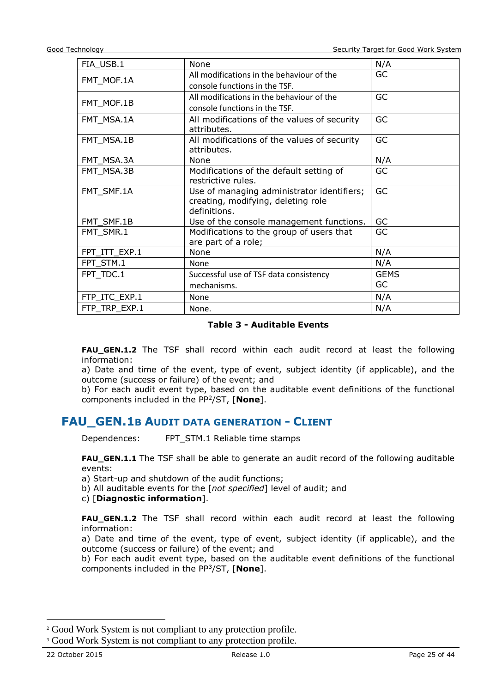| FIA USB.1     | None                                        | N/A         |
|---------------|---------------------------------------------|-------------|
|               | All modifications in the behaviour of the   | <b>GC</b>   |
| FMT_MOF.1A    | console functions in the TSF.               |             |
| FMT_MOF.1B    | All modifications in the behaviour of the   | GC          |
|               | console functions in the TSF.               |             |
| FMT_MSA.1A    | All modifications of the values of security | GC          |
|               | attributes.                                 |             |
| FMT MSA.1B    | All modifications of the values of security | GC          |
|               | attributes.                                 |             |
| FMT MSA.3A    | None                                        | N/A         |
| FMT MSA.3B    | Modifications of the default setting of     | GC          |
|               | restrictive rules.                          |             |
| FMT_SMF.1A    | Use of managing administrator identifiers;  | GC          |
|               | creating, modifying, deleting role          |             |
|               | definitions.                                |             |
| FMT_SMF.1B    | Use of the console management functions.    | GC          |
| FMT_SMR.1     | Modifications to the group of users that    | GC          |
|               | are part of a role;                         |             |
| FPT ITT EXP.1 | <b>None</b>                                 | N/A         |
| FPT_STM.1     | None                                        | N/A         |
| FPT TDC.1     | Successful use of TSF data consistency      | <b>GEMS</b> |
|               | mechanisms.                                 | GC          |
| FTP_ITC_EXP.1 | None                                        | N/A         |
| FTP_TRP_EXP.1 | None.                                       | N/A         |

#### **Table 3 - Auditable Events**

<span id="page-24-0"></span>**FAU\_GEN.1.2** The TSF shall record within each audit record at least the following information:

a) Date and time of the event, type of event, subject identity (if applicable), and the outcome (success or failure) of the event; and

b) For each audit event type, based on the auditable event definitions of the functional components included in the PP<sup>2</sup> /ST, [**None**].

#### **FAU\_GEN.1B AUDIT DATA GENERATION - CLIENT**

Dependences: FPT\_STM.1 Reliable time stamps

**FAU\_GEN.1.1** The TSF shall be able to generate an audit record of the following auditable events:

a) Start-up and shutdown of the audit functions;

b) All auditable events for the [*not specified*] level of audit; and

c) [**Diagnostic information**].

**FAU GEN.1.2** The TSF shall record within each audit record at least the following information:

a) Date and time of the event, type of event, subject identity (if applicable), and the outcome (success or failure) of the event; and

b) For each audit event type, based on the auditable event definitions of the functional components included in the PP<sup>3</sup> /ST, [**None**].

-

<sup>&</sup>lt;sup>2</sup> Good Work System is not compliant to any protection profile.

<sup>&</sup>lt;sup>3</sup> Good Work System is not compliant to any protection profile.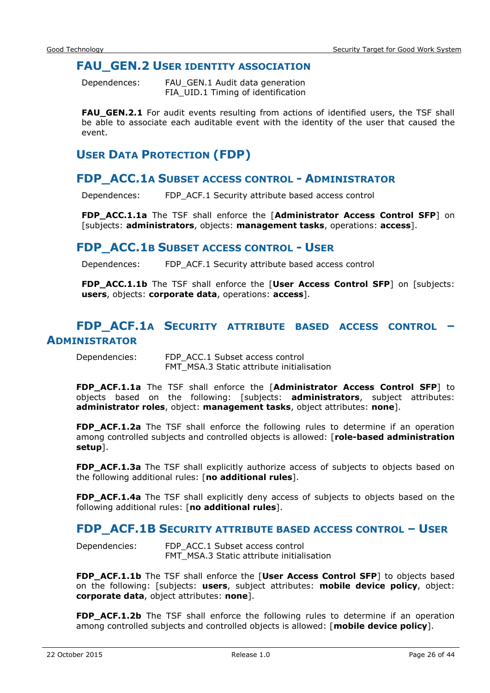#### <span id="page-25-0"></span>**FAU GEN.2 USER IDENTITY ASSOCIATION**

Dependences: FAU\_GEN.1 Audit data generation FIA\_UID.1 Timing of identification

FAU\_GEN.2.1 For audit events resulting from actions of identified users, the TSF shall be able to associate each auditable event with the identity of the user that caused the event.

## <span id="page-25-1"></span>**USER DATA PROTECTION (FDP)**

#### <span id="page-25-2"></span>**FDP\_ACC.1A SUBSET ACCESS CONTROL - ADMINISTRATOR**

Dependences: FDP\_ACF.1 Security attribute based access control

**FDP\_ACC.1.1a** The TSF shall enforce the [**Administrator Access Control SFP**] on [subjects: **administrators**, objects: **management tasks**, operations: **access**].

#### <span id="page-25-3"></span>**FDP\_ACC.1B SUBSET ACCESS CONTROL - USER**

Dependences: FDP\_ACF.1 Security attribute based access control

**FDP\_ACC.1.1b** The TSF shall enforce the [User Access Control SFP] on [subjects: **users**, objects: **corporate data**, operations: **access**].

## <span id="page-25-4"></span>**FDP\_ACF.1A SECURITY ATTRIBUTE BASED ACCESS CONTROL – ADMINISTRATOR**

Dependencies: FDP\_ACC.1 Subset access control FMT\_MSA.3 Static attribute initialisation

**FDP\_ACF.1.1a** The TSF shall enforce the [**Administrator Access Control SFP**] to objects based on the following: [subjects: **administrators**, subject attributes: **administrator roles**, object: **management tasks**, object attributes: **none**].

**FDP ACF.1.2a** The TSF shall enforce the following rules to determine if an operation among controlled subjects and controlled objects is allowed: [**role-based administration setup**].

**FDP\_ACF.1.3a** The TSF shall explicitly authorize access of subjects to objects based on the following additional rules: [**no additional rules**].

**FDP\_ACF.1.4a** The TSF shall explicitly deny access of subjects to objects based on the following additional rules: [**no additional rules**].

#### <span id="page-25-5"></span>**FDP\_ACF.1B SECURITY ATTRIBUTE BASED ACCESS CONTROL – USER**

Dependencies: FDP\_ACC.1 Subset access control FMT\_MSA.3 Static attribute initialisation

**FDP\_ACF.1.1b** The TSF shall enforce the [**User Access Control SFP**] to objects based on the following: [subjects: **users**, subject attributes: **mobile device policy**, object: **corporate data**, object attributes: **none**].

**FDP\_ACF.1.2b** The TSF shall enforce the following rules to determine if an operation among controlled subjects and controlled objects is allowed: [**mobile device policy**].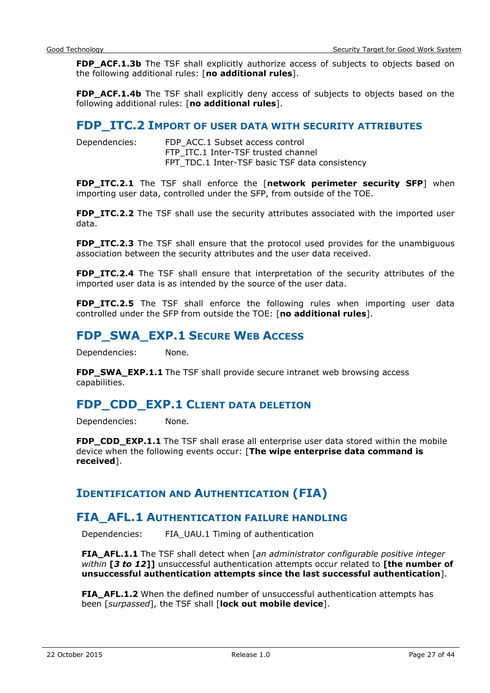**FDP\_ACF.1.3b** The TSF shall explicitly authorize access of subjects to objects based on the following additional rules: [**no additional rules**].

FDP\_ACF.1.4b The TSF shall explicitly deny access of subjects to objects based on the following additional rules: [**no additional rules**].

#### <span id="page-26-0"></span>**FDP\_ITC.2 IMPORT OF USER DATA WITH SECURITY ATTRIBUTES**

| Dependencies: | FDP ACC.1 Subset access control                |
|---------------|------------------------------------------------|
|               | FTP ITC.1 Inter-TSF trusted channel            |
|               | FPT_TDC.1 Inter-TSF basic TSF data consistency |

**FDP\_ITC.2.1** The TSF shall enforce the [**network perimeter security SFP**] when importing user data, controlled under the SFP, from outside of the TOE.

**FDP ITC.2.2** The TSF shall use the security attributes associated with the imported user data.

**FDP\_ITC.2.3** The TSF shall ensure that the protocol used provides for the unambiguous association between the security attributes and the user data received.

**FDP\_ITC.2.4** The TSF shall ensure that interpretation of the security attributes of the imported user data is as intended by the source of the user data.

**FDP ITC.2.5** The TSF shall enforce the following rules when importing user data controlled under the SFP from outside the TOE: [**no additional rules**].

## <span id="page-26-1"></span>**FDP\_SWA\_EXP.1 SECURE WEB ACCESS**

Dependencies: None.

**FDP\_SWA\_EXP.1.1** The TSF shall provide secure intranet web browsing access capabilities.

## **FDP\_CDD\_EXP.1 CLIENT DATA DELETION**

Dependencies: None.

**FDP\_CDD\_EXP.1.1** The TSF shall erase all enterprise user data stored within the mobile device when the following events occur: [**The wipe enterprise data command is received**].

#### <span id="page-26-2"></span>**IDENTIFICATION AND AUTHENTICATION (FIA)**

#### <span id="page-26-3"></span>**FIA\_AFL.1 AUTHENTICATION FAILURE HANDLING**

Dependencies: FIA\_UAU.1 Timing of authentication

**FIA\_AFL.1.1** The TSF shall detect when [*an administrator configurable positive integer within* **[***3 to 12***]]** unsuccessful authentication attempts occur related to **[the number of unsuccessful authentication attempts since the last successful authentication**].

**FIA\_AFL.1.2** When the defined number of unsuccessful authentication attempts has been [*surpassed*], the TSF shall [**lock out mobile device**].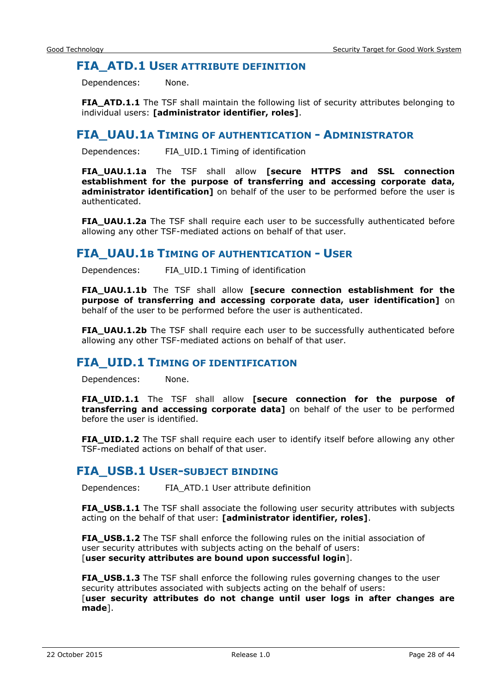#### <span id="page-27-0"></span>**FIA\_ATD.1 USER ATTRIBUTE DEFINITION**

Dependences: None.

**FIA\_ATD.1.1** The TSF shall maintain the following list of security attributes belonging to individual users: **[administrator identifier, roles]**.

#### <span id="page-27-1"></span>**FIA\_UAU.1A TIMING OF AUTHENTICATION - ADMINISTRATOR**

Dependences: FIA\_UID.1 Timing of identification

**FIA\_UAU.1.1a** The TSF shall allow **[secure HTTPS and SSL connection establishment for the purpose of transferring and accessing corporate data, administrator identification]** on behalf of the user to be performed before the user is authenticated.

**FIA\_UAU.1.2a** The TSF shall require each user to be successfully authenticated before allowing any other TSF-mediated actions on behalf of that user.

#### <span id="page-27-2"></span>**FIA\_UAU.1B TIMING OF AUTHENTICATION - USER**

Dependences: FIA\_UID.1 Timing of identification

**FIA\_UAU.1.1b** The TSF shall allow **[secure connection establishment for the purpose of transferring and accessing corporate data, user identification]** on behalf of the user to be performed before the user is authenticated.

**FIA UAU.1.2b** The TSF shall require each user to be successfully authenticated before allowing any other TSF-mediated actions on behalf of that user.

#### <span id="page-27-3"></span>**FIA\_UID.1 TIMING OF IDENTIFICATION**

Dependences: None.

**FIA\_UID.1.1** The TSF shall allow **[secure connection for the purpose of transferring and accessing corporate data]** on behalf of the user to be performed before the user is identified.

**FIA\_UID.1.2** The TSF shall require each user to identify itself before allowing any other TSF-mediated actions on behalf of that user.

#### <span id="page-27-4"></span>**FIA\_USB.1 USER-SUBJECT BINDING**

Dependences: FIA\_ATD.1 User attribute definition

**FIA\_USB.1.1** The TSF shall associate the following user security attributes with subjects acting on the behalf of that user: **[administrator identifier, roles]**.

**FIA\_USB.1.2** The TSF shall enforce the following rules on the initial association of user security attributes with subjects acting on the behalf of users: [**user security attributes are bound upon successful login**].

**FIA\_USB.1.3** The TSF shall enforce the following rules governing changes to the user security attributes associated with subjects acting on the behalf of users: [**user security attributes do not change until user logs in after changes are made**].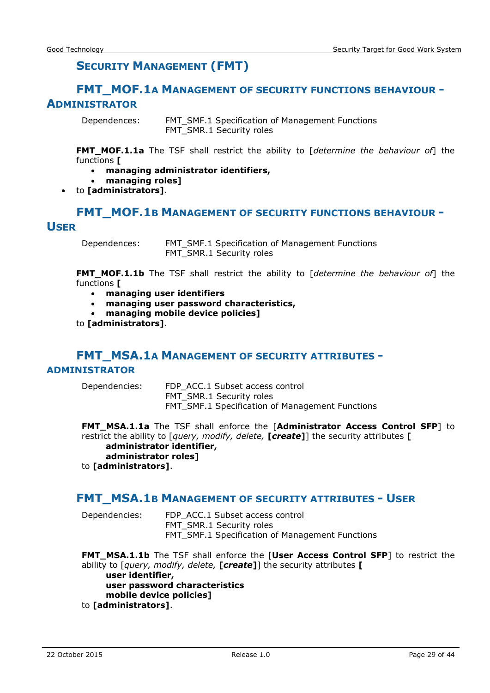## **SECURITY MANAGEMENT (FMT)**

#### <span id="page-28-1"></span><span id="page-28-0"></span>**FMT\_MOF.1A MANAGEMENT OF SECURITY FUNCTIONS BEHAVIOUR - ADMINISTRATOR**

Dependences: FMT\_SMF.1 Specification of Management Functions FMT\_SMR.1 Security roles

**FMT\_MOF.1.1a** The TSF shall restrict the ability to [*determine the behaviour of*] the functions **[**

- **managing administrator identifiers,**
- **managing roles]**
- to **[administrators]**.

## <span id="page-28-2"></span>**FMT\_MOF.1B MANAGEMENT OF SECURITY FUNCTIONS BEHAVIOUR - USER**

Dependences: FMT\_SMF.1 Specification of Management Functions FMT\_SMR.1 Security roles

**FMT\_MOF.1.1b** The TSF shall restrict the ability to [*determine the behaviour of*] the functions **[**

- **managing user identifiers**
- **managing user password characteristics,**
- **managing mobile device policies]**

to **[administrators]**.

## **FMT\_MSA.1A MANAGEMENT OF SECURITY ATTRIBUTES -**

#### <span id="page-28-3"></span>**ADMINISTRATOR**

Dependencies: FDP\_ACC.1 Subset access control FMT\_SMR.1 Security roles FMT\_SMF.1 Specification of Management Functions

**FMT\_MSA.1.1a** The TSF shall enforce the [**Administrator Access Control SFP**] to restrict the ability to [*query, modify, delete,* **[***create***]**] the security attributes **[ administrator identifier, administrator roles]** to **[administrators]**.

#### <span id="page-28-4"></span>**FMT\_MSA.1B MANAGEMENT OF SECURITY ATTRIBUTES - USER**

Dependencies: FDP\_ACC.1 Subset access control FMT\_SMR.1 Security roles FMT\_SMF.1 Specification of Management Functions

**FMT\_MSA.1.1b** The TSF shall enforce the [**User Access Control SFP**] to restrict the ability to [*query, modify, delete,* **[***create***]**] the security attributes **[ user identifier, user password characteristics mobile device policies]**

to **[administrators]**.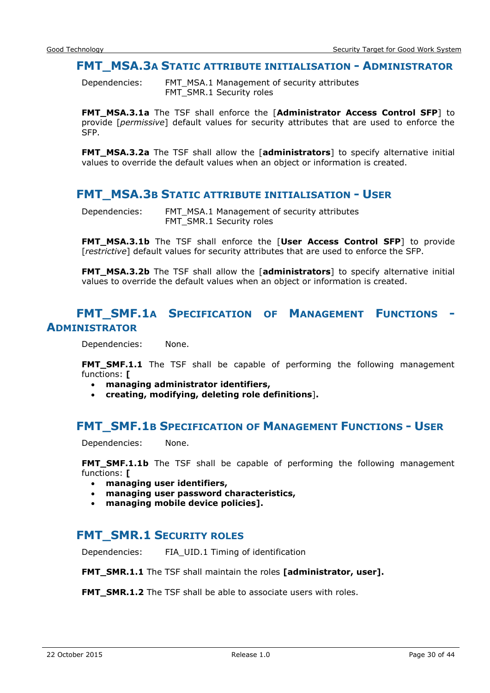#### <span id="page-29-0"></span>**FMT\_MSA.3A STATIC ATTRIBUTE INITIALISATION - ADMINISTRATOR**

Dependencies: FMT\_MSA.1 Management of security attributes FMT\_SMR.1 Security roles

**FMT\_MSA.3.1a** The TSF shall enforce the [**Administrator Access Control SFP**] to provide [*permissive*] default values for security attributes that are used to enforce the SFP.

**FMT\_MSA.3.2a** The TSF shall allow the [**administrators**] to specify alternative initial values to override the default values when an object or information is created.

#### <span id="page-29-1"></span>**FMT\_MSA.3B STATIC ATTRIBUTE INITIALISATION - USER**

Dependencies: FMT\_MSA.1 Management of security attributes FMT\_SMR.1 Security roles

**FMT\_MSA.3.1b** The TSF shall enforce the [**User Access Control SFP**] to provide [*restrictive*] default values for security attributes that are used to enforce the SFP.

**FMT\_MSA.3.2b** The TSF shall allow the [**administrators**] to specify alternative initial values to override the default values when an object or information is created.

#### <span id="page-29-2"></span>**FMT\_SMF.1A SPECIFICATION OF MANAGEMENT FUNCTIONS - ADMINISTRATOR**

Dependencies: None.

**FMT\_SMF.1.1** The TSF shall be capable of performing the following management functions: **[**

- **managing administrator identifiers,**
- **creating, modifying, deleting role definitions**]**.**

#### <span id="page-29-3"></span>**FMT\_SMF.1B SPECIFICATION OF MANAGEMENT FUNCTIONS - USER**

Dependencies: None.

**FMT\_SMF.1.1b** The TSF shall be capable of performing the following management functions: **[**

- **managing user identifiers,**
- **managing user password characteristics,**
- **managing mobile device policies].**

## <span id="page-29-4"></span>**FMT** SMR.1 SECURITY ROLES

Dependencies: FIA\_UID.1 Timing of identification

**FMT\_SMR.1.1** The TSF shall maintain the roles **[administrator, user].** 

**FMT\_SMR.1.2** The TSF shall be able to associate users with roles.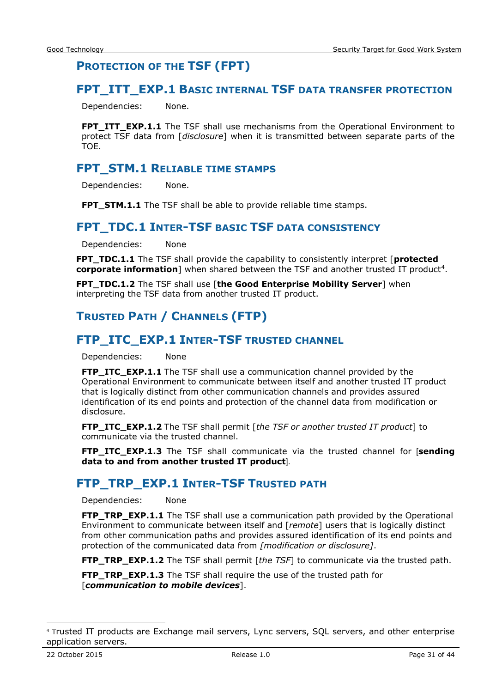## <span id="page-30-0"></span>**PROTECTION OF THE TSF (FPT)**

#### <span id="page-30-1"></span>**FPT\_ITT\_EXP.1 BASIC INTERNAL TSF DATA TRANSFER PROTECTION**

Dependencies: None.

**FPT\_ITT\_EXP.1.1** The TSF shall use mechanisms from the Operational Environment to protect TSF data from [*disclosure*] when it is transmitted between separate parts of the TOE.

#### <span id="page-30-2"></span>**FPT\_STM.1 RELIABLE TIME STAMPS**

Dependencies: None.

**FPT\_STM.1.1** The TSF shall be able to provide reliable time stamps.

#### <span id="page-30-3"></span>**FPT\_TDC.1 INTER-TSF BASIC TSF DATA CONSISTENCY**

Dependencies: None

**FPT\_TDC.1.1** The TSF shall provide the capability to consistently interpret [**protected**  corporate information] when shared between the TSF and another trusted IT product<sup>4</sup>.

**FPT\_TDC.1.2** The TSF shall use [**the Good Enterprise Mobility Server**] when interpreting the TSF data from another trusted IT product.

## <span id="page-30-4"></span>**TRUSTED PATH / CHANNELS (FTP)**

#### <span id="page-30-5"></span>**FTP\_ITC\_EXP.1 INTER-TSF TRUSTED CHANNEL**

Dependencies: None

**FTP ITC EXP.1.1** The TSF shall use a communication channel provided by the Operational Environment to communicate between itself and another trusted IT product that is logically distinct from other communication channels and provides assured identification of its end points and protection of the channel data from modification or disclosure.

**FTP\_ITC\_EXP.1.2** The TSF shall permit [*the TSF or another trusted IT product*] to communicate via the trusted channel.

**FTP\_ITC\_EXP.1.3** The TSF shall communicate via the trusted channel for [**sending data to and from another trusted IT product**].

#### <span id="page-30-6"></span>**FTP\_TRP\_EXP.1 INTER-TSF TRUSTED PATH**

Dependencies: None

**FTP\_TRP\_EXP.1.1** The TSF shall use a communication path provided by the Operational Environment to communicate between itself and [*remote*] users that is logically distinct from other communication paths and provides assured identification of its end points and protection of the communicated data from *[modification or disclosure]*.

**FTP\_TRP\_EXP.1.2** The TSF shall permit [*the TSF*] to communicate via the trusted path.

**FTP\_TRP\_EXP.1.3** The TSF shall require the use of the trusted path for [*communication to mobile devices*].

-

<sup>4</sup> Trusted IT products are Exchange mail servers, Lync servers, SQL servers, and other enterprise application servers.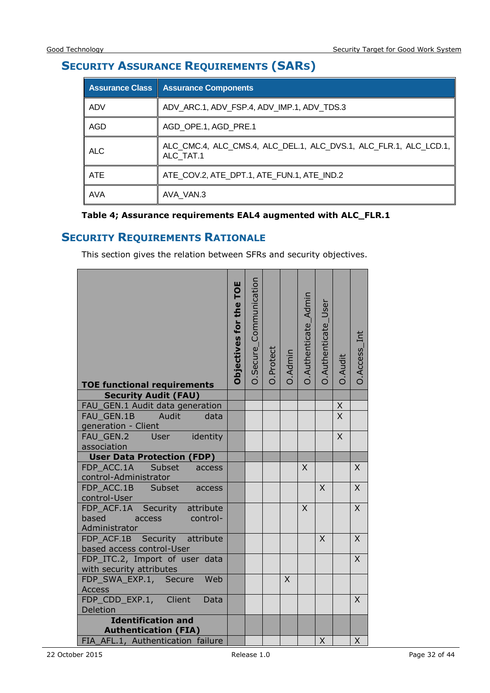## <span id="page-31-0"></span>**SECURITY ASSURANCE REQUIREMENTS (SARS)**

|            | <b>Assurance Class   Assurance Components</b>                                  |
|------------|--------------------------------------------------------------------------------|
| ADV        | ADV_ARC.1, ADV_FSP.4, ADV_IMP.1, ADV_TDS.3                                     |
| AGD        | AGD OPE.1, AGD PRE.1                                                           |
| <b>ALC</b> | ALC_CMC.4, ALC_CMS.4, ALC_DEL.1, ALC_DVS.1, ALC_FLR.1, ALC_LCD.1,<br>ALC TAT.1 |
| <b>ATE</b> | ATE_COV.2, ATE_DPT.1, ATE_FUN.1, ATE_IND.2                                     |
| <b>AVA</b> | AVA VAN.3                                                                      |

#### **Table 4; Assurance requirements EAL4 augmented with ALC\_FLR.1**

## <span id="page-31-1"></span>**SECURITY REQUIREMENTS RATIONALE**

This section gives the relation between SFRs and security objectives.

| <b>TOE functional requirements</b>                                                   | TOE<br>Objectives for the | O.Secure_Communication | O.Protect | O.Admin | O.Authenticate_Admin | O.Authenticate_User | O.Audit        | O.Access_Int |
|--------------------------------------------------------------------------------------|---------------------------|------------------------|-----------|---------|----------------------|---------------------|----------------|--------------|
| <b>Security Audit (FAU)</b>                                                          |                           |                        |           |         |                      |                     |                |              |
| FAU_GEN.1 Audit data generation                                                      |                           |                        |           |         |                      |                     | $\frac{x}{x}$  |              |
| FAU GEN.1B<br>Audit<br>data                                                          |                           |                        |           |         |                      |                     |                |              |
| generation - Client                                                                  |                           |                        |           |         |                      |                     |                |              |
| identity<br><b>User</b><br>FAU_GEN.2                                                 |                           |                        |           |         |                      |                     | $\overline{X}$ |              |
| association                                                                          |                           |                        |           |         |                      |                     |                |              |
| <b>User Data Protection (FDP)</b>                                                    |                           |                        |           |         |                      |                     |                |              |
| FDP ACC.1A<br>Subset<br>access<br>control-Administrator                              |                           |                        |           |         | X                    |                     |                | X            |
| FDP_ACC.1B Subset<br>access<br>control-User                                          |                           |                        |           |         |                      | $\mathsf{X}$        |                | X            |
| FDP_ACF.1A Security attribute<br>based<br><b>CONTINUE</b><br>access<br>Administrator |                           |                        |           |         | X                    |                     |                | X            |
| FDP_ACF.1B Security attribute<br>based access control-User                           |                           |                        |           |         |                      | $\times$            |                | X            |
| FDP_ITC.2, Import of user data<br>with security attributes                           |                           |                        |           |         |                      |                     |                | X            |
| FDP_SWA_EXP.1, Secure<br>Web                                                         |                           |                        |           | X       |                      |                     |                |              |
| <b>Access</b>                                                                        |                           |                        |           |         |                      |                     |                |              |
| FDP_CDD_EXP.1, Client<br>Data                                                        |                           |                        |           |         |                      |                     |                | $\sf X$      |
| Deletion                                                                             |                           |                        |           |         |                      |                     |                |              |
| <b>Identification and</b>                                                            |                           |                        |           |         |                      |                     |                |              |
| <b>Authentication (FIA)</b>                                                          |                           |                        |           |         |                      |                     |                |              |
| FIA_AFL.1, Authentication failure                                                    |                           |                        |           |         |                      | X                   |                | X            |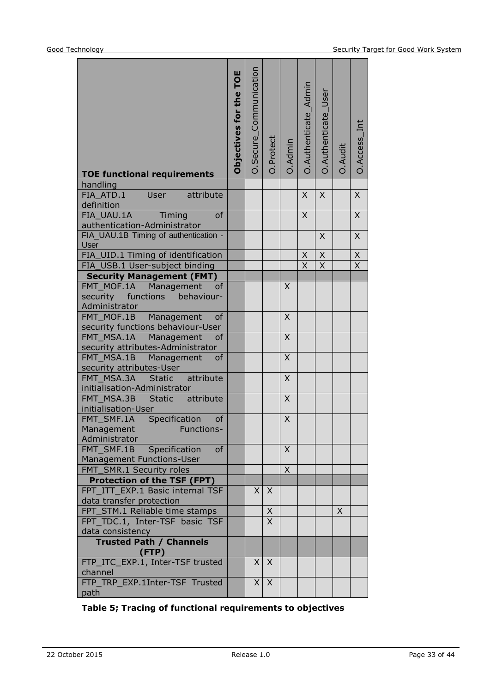| <b>TOE functional requirements</b>                                   | Objectives for the TOE | O.Secure_Communication | O.Protect      | 0.Admin      | O.Authenticate_Admin                      | O.Authenticate_User           | O.Audit      | O.Access_Int                           |
|----------------------------------------------------------------------|------------------------|------------------------|----------------|--------------|-------------------------------------------|-------------------------------|--------------|----------------------------------------|
| handling<br>FIA_ATD.1<br>User<br>attribute                           |                        |                        |                |              | X                                         | X                             |              | $\mathsf{X}$                           |
| definition                                                           |                        |                        |                |              |                                           |                               |              |                                        |
| FIA_UAU.1A<br>Timing<br>of                                           |                        |                        |                |              | $\sf X$                                   |                               |              | $\overline{X}$                         |
| authentication-Administrator                                         |                        |                        |                |              |                                           |                               |              |                                        |
| FIA_UAU.1B Timing of authentication -                                |                        |                        |                |              |                                           | X                             |              | $\overline{X}$                         |
| <b>User</b>                                                          |                        |                        |                |              |                                           |                               |              |                                        |
| FIA_UID.1 Timing of identification<br>FIA_USB.1 User-subject binding |                        |                        |                |              | $\overline{X}$<br>$\overline{\mathsf{x}}$ | $\mathsf X$<br>$\overline{X}$ |              | $\mathsf X$<br>$\overline{\mathsf{x}}$ |
| <b>Security Management (FMT)</b>                                     |                        |                        |                |              |                                           |                               |              |                                        |
| FMT_MOF.1A<br>Management<br>of                                       |                        |                        |                | X            |                                           |                               |              |                                        |
| security<br>functions<br>behaviour-                                  |                        |                        |                |              |                                           |                               |              |                                        |
| Administrator                                                        |                        |                        |                |              |                                           |                               |              |                                        |
| Management<br>FMT MOF.1B<br>of                                       |                        |                        |                | X            |                                           |                               |              |                                        |
| security functions behaviour-User                                    |                        |                        |                |              |                                           |                               |              |                                        |
| FMT MSA.1A<br>Management<br>of<br>security attributes-Administrator  |                        |                        |                | X            |                                           |                               |              |                                        |
| FMT_MSA.1B Management<br>of                                          |                        |                        |                | X            |                                           |                               |              |                                        |
| security attributes-User                                             |                        |                        |                |              |                                           |                               |              |                                        |
| FMT MSA.3A Static<br>attribute                                       |                        |                        |                | X            |                                           |                               |              |                                        |
| initialisation-Administrator                                         |                        |                        |                |              |                                           |                               |              |                                        |
| attribute<br>FMT_MSA.3B<br>Static                                    |                        |                        |                | Χ            |                                           |                               |              |                                        |
| initialisation-User                                                  |                        |                        |                |              |                                           |                               |              |                                        |
| FMT_SMF.1A Specification<br>of                                       |                        |                        |                | Χ            |                                           |                               |              |                                        |
| Management<br>Functions-                                             |                        |                        |                |              |                                           |                               |              |                                        |
| Administrator<br>Specification<br>FMT SMF.1B<br><b>of</b>            |                        |                        |                | $\mathsf{X}$ |                                           |                               |              |                                        |
| Management Functions-User                                            |                        |                        |                |              |                                           |                               |              |                                        |
| FMT_SMR.1 Security roles                                             |                        |                        |                | X            |                                           |                               |              |                                        |
| <b>Protection of the TSF (FPT)</b>                                   |                        |                        |                |              |                                           |                               |              |                                        |
| FPT_ITT_EXP.1 Basic internal TSF                                     |                        | X                      | $\times$       |              |                                           |                               |              |                                        |
| data transfer protection                                             |                        |                        |                |              |                                           |                               |              |                                        |
| FPT_STM.1 Reliable time stamps                                       |                        |                        | $\mathsf X$    |              |                                           |                               | $\mathsf{X}$ |                                        |
| FPT_TDC.1, Inter-TSF basic TSF                                       |                        |                        | $\overline{X}$ |              |                                           |                               |              |                                        |
| data consistency<br><b>Trusted Path / Channels</b>                   |                        |                        |                |              |                                           |                               |              |                                        |
| (FTP)                                                                |                        |                        |                |              |                                           |                               |              |                                        |
| FTP_ITC_EXP.1, Inter-TSF trusted                                     |                        | X                      | $\sf X$        |              |                                           |                               |              |                                        |
| channel                                                              |                        |                        |                |              |                                           |                               |              |                                        |
| FTP TRP EXP.1Inter-TSF Trusted                                       |                        | X                      | X              |              |                                           |                               |              |                                        |
| path                                                                 |                        |                        |                |              |                                           |                               |              |                                        |

#### **Table 5; Tracing of functional requirements to objectives**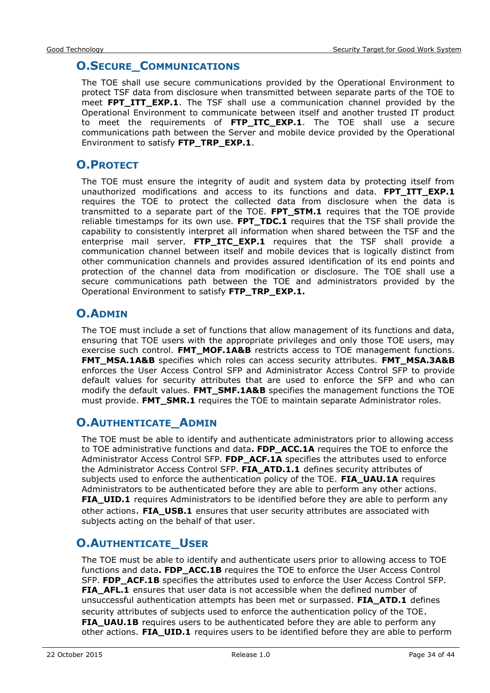## <span id="page-33-0"></span>**O.SECURE\_COMMUNICATIONS**

The TOE shall use secure communications provided by the Operational Environment to protect TSF data from disclosure when transmitted between separate parts of the TOE to meet **FPT\_ITT\_EXP.1**. The TSF shall use a communication channel provided by the Operational Environment to communicate between itself and another trusted IT product to meet the requirements of **FTP\_ITC\_EXP.1**. The TOE shall use a secure communications path between the Server and mobile device provided by the Operational Environment to satisfy **FTP\_TRP\_EXP.1**.

## <span id="page-33-1"></span>**O.PROTECT**

The TOE must ensure the integrity of audit and system data by protecting itself from unauthorized modifications and access to its functions and data. **FPT ITT EXP.1** requires the TOE to protect the collected data from disclosure when the data is transmitted to a separate part of the TOE. **FPT\_STM.1** requires that the TOE provide reliable timestamps for its own use. **FPT\_TDC.1** requires that the TSF shall provide the capability to consistently interpret all information when shared between the TSF and the enterprise mail server. **FTP\_ITC\_EXP.1** requires that the TSF shall provide a communication channel between itself and mobile devices that is logically distinct from other communication channels and provides assured identification of its end points and protection of the channel data from modification or disclosure. The TOE shall use a secure communications path between the TOE and administrators provided by the Operational Environment to satisfy **FTP\_TRP\_EXP.1.**

## <span id="page-33-2"></span>**O.ADMIN**

The TOE must include a set of functions that allow management of its functions and data, ensuring that TOE users with the appropriate privileges and only those TOE users, may exercise such control. **FMT\_MOF.1A&B** restricts access to TOE management functions. **FMT\_MSA.1A&B** specifies which roles can access security attributes. **FMT\_MSA.3A&B** enforces the User Access Control SFP and Administrator Access Control SFP to provide default values for security attributes that are used to enforce the SFP and who can modify the default values. **FMT\_SMF.1A&B** specifies the management functions the TOE must provide. **FMT\_SMR.1** requires the TOE to maintain separate Administrator roles.

## <span id="page-33-3"></span>**O.AUTHENTICATE\_ADMIN**

The TOE must be able to identify and authenticate administrators prior to allowing access to TOE administrative functions and data**. FDP\_ACC.1A** requires the TOE to enforce the Administrator Access Control SFP. **FDP\_ACF.1A** specifies the attributes used to enforce the Administrator Access Control SFP. **FIA\_ATD.1.1** defines security attributes of subjects used to enforce the authentication policy of the TOE. **FIA\_UAU.1A** requires Administrators to be authenticated before they are able to perform any other actions. **FIA\_UID.1** requires Administrators to be identified before they are able to perform any other actions. **FIA\_USB.1** ensures that user security attributes are associated with subjects acting on the behalf of that user.

## <span id="page-33-4"></span>**O.AUTHENTICATE\_USER**

The TOE must be able to identify and authenticate users prior to allowing access to TOE functions and data**. FDP\_ACC.1B** requires the TOE to enforce the User Access Control SFP. FDP ACF.1B specifies the attributes used to enforce the User Access Control SFP. **FIA\_AFL.1** ensures that user data is not accessible when the defined number of unsuccessful authentication attempts has been met or surpassed. **FIA\_ATD.1** defines security attributes of subjects used to enforce the authentication policy of the TOE. **FIA\_UAU.1B** requires users to be authenticated before they are able to perform any other actions. **FIA\_UID.1** requires users to be identified before they are able to perform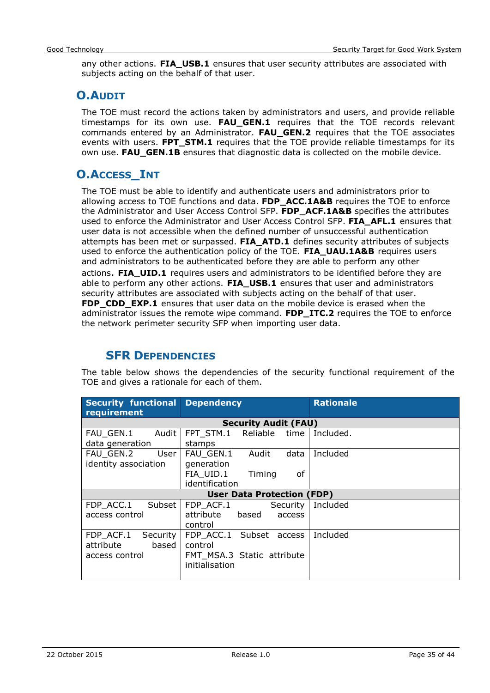any other actions. **FIA\_USB.1** ensures that user security attributes are associated with subjects acting on the behalf of that user.

## <span id="page-34-0"></span>**O.AUDIT**

The TOE must record the actions taken by administrators and users, and provide reliable timestamps for its own use. **FAU\_GEN.1** requires that the TOE records relevant commands entered by an Administrator. **FAU\_GEN.2** requires that the TOE associates events with users. **FPT STM.1** requires that the TOE provide reliable timestamps for its own use. **FAU\_GEN.1B** ensures that diagnostic data is collected on the mobile device.

## <span id="page-34-1"></span>**O.ACCESS\_INT**

The TOE must be able to identify and authenticate users and administrators prior to allowing access to TOE functions and data. **FDP\_ACC.1A&B** requires the TOE to enforce the Administrator and User Access Control SFP. **FDP\_ACF.1A&B** specifies the attributes used to enforce the Administrator and User Access Control SFP. **FIA\_AFL.1** ensures that user data is not accessible when the defined number of unsuccessful authentication attempts has been met or surpassed. **FIA\_ATD.1** defines security attributes of subjects used to enforce the authentication policy of the TOE. **FIA\_UAU.1A&B** requires users and administrators to be authenticated before they are able to perform any other actions. **FIA\_UID.1** requires users and administrators to be identified before they are able to perform any other actions. **FIA\_USB.1** ensures that user and administrators security attributes are associated with subjects acting on the behalf of that user. **FDP\_CDD\_EXP.1** ensures that user data on the mobile device is erased when the administrator issues the remote wipe command. **FDP\_ITC.2** requires the TOE to enforce the network perimeter security SFP when importing user data.

## **SFR DEPENDENCIES**

<span id="page-34-2"></span>The table below shows the dependencies of the security functional requirement of the TOE and gives a rationale for each of them.

| <b>Security functional</b><br>requirement | <b>Dependency</b>                 | <b>Rationale</b> |
|-------------------------------------------|-----------------------------------|------------------|
|                                           | <b>Security Audit (FAU)</b>       |                  |
| FAU GEN.1<br>Audit                        | FPT STM.1<br>Reliable<br>time     | Included.        |
| data generation                           | stamps                            |                  |
| FAU GEN.2<br>User                         | FAU GEN.1<br>data<br>Audit        | Included         |
| identity association                      | generation                        |                  |
|                                           | FIA_UID.1<br>Timing<br>0f         |                  |
|                                           | identification                    |                  |
|                                           | <b>User Data Protection (FDP)</b> |                  |
| FDP ACC.1<br>Subset                       | FDP ACF.1<br>Security             | Included         |
| access control                            | based<br>attribute<br>access      |                  |
|                                           | control                           |                  |
| FDP_ACF.1<br>Security                     | FDP ACC.1 Subset access           | Included         |
| based<br>attribute                        | control                           |                  |
| access control                            | FMT MSA.3 Static attribute        |                  |
|                                           | initialisation                    |                  |
|                                           |                                   |                  |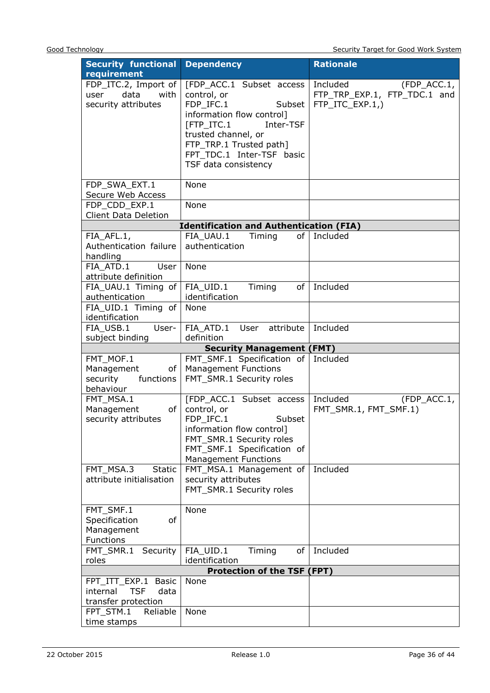| <b>Security functional</b>            | <b>Dependency</b>                              | <b>Rationale</b>             |
|---------------------------------------|------------------------------------------------|------------------------------|
| requirement                           |                                                |                              |
| FDP_ITC.2, Import of                  | [FDP_ACC.1 Subset access                       | Included<br>(FDP_ACC.1,      |
| data<br>with<br>user                  | control, or                                    | FTP_TRP_EXP.1, FTP_TDC.1 and |
| security attributes                   | FDP_IFC.1<br>Subset                            | FTP ITC EXP.1,)              |
|                                       | information flow control]                      |                              |
|                                       | Inter-TSF<br>[FTP_ITC.1                        |                              |
|                                       | trusted channel, or                            |                              |
|                                       | FTP_TRP.1 Trusted path]                        |                              |
|                                       | FPT TDC.1 Inter-TSF basic                      |                              |
|                                       | TSF data consistency                           |                              |
|                                       |                                                |                              |
| FDP_SWA_EXT.1                         | None                                           |                              |
| Secure Web Access                     |                                                |                              |
| FDP_CDD_EXP.1                         | None                                           |                              |
| <b>Client Data Deletion</b>           |                                                |                              |
|                                       | <b>Identification and Authentication (FIA)</b> |                              |
| FIA AFL.1,                            | FIA UAU.1<br>Timing                            | of Included                  |
| Authentication failure                | authentication                                 |                              |
| handling                              |                                                |                              |
| FIA ATD.1<br>User                     | None                                           |                              |
| attribute definition                  |                                                | of Included                  |
| FIA UAU.1 Timing of                   | FIA_UID.1<br>Timing<br>identification          |                              |
| authentication                        | None                                           |                              |
| FIA_UID.1 Timing of<br>identification |                                                |                              |
| FIA USB.1<br>User-                    | FIA ATD.1 User<br>attribute                    | Included                     |
| subject binding                       | definition                                     |                              |
|                                       | <b>Security Management (FMT)</b>               |                              |
| FMT_MOF.1                             | FMT_SMF.1 Specification of                     | Included                     |
| Management<br>of                      | <b>Management Functions</b>                    |                              |
| security<br>functions                 | FMT_SMR.1 Security roles                       |                              |
| behaviour                             |                                                |                              |
| FMT_MSA.1                             | [FDP ACC.1 Subset access                       | Included<br>(FDP_ACC.1,      |
| of<br>Management                      | control, or                                    | FMT_SMR.1, FMT_SMF.1)        |
| security attributes                   | FDP_IFC.1<br>Subset                            |                              |
|                                       | information flow control]                      |                              |
|                                       | FMT_SMR.1 Security roles                       |                              |
|                                       | FMT_SMF.1 Specification of                     |                              |
|                                       | <b>Management Functions</b>                    |                              |
| FMT_MSA.3<br><b>Static</b>            | FMT_MSA.1 Management of                        | Included                     |
| attribute initialisation              | security attributes                            |                              |
|                                       | FMT_SMR.1 Security roles                       |                              |
| FMT_SMF.1                             | None                                           |                              |
| Specification<br>of                   |                                                |                              |
| Management                            |                                                |                              |
| Functions                             |                                                |                              |
| FMT_SMR.1<br>Security                 | FIA UID.1<br>Timing<br>of                      | Included                     |
| roles                                 | identification                                 |                              |
|                                       | <b>Protection of the TSF (FPT)</b>             |                              |
| FPT_ITT_EXP.1<br><b>Basic</b>         | None                                           |                              |
| <b>TSF</b><br>internal<br>data        |                                                |                              |
| transfer protection                   |                                                |                              |
|                                       |                                                |                              |
| FPT_STM.1<br>Reliable                 | None                                           |                              |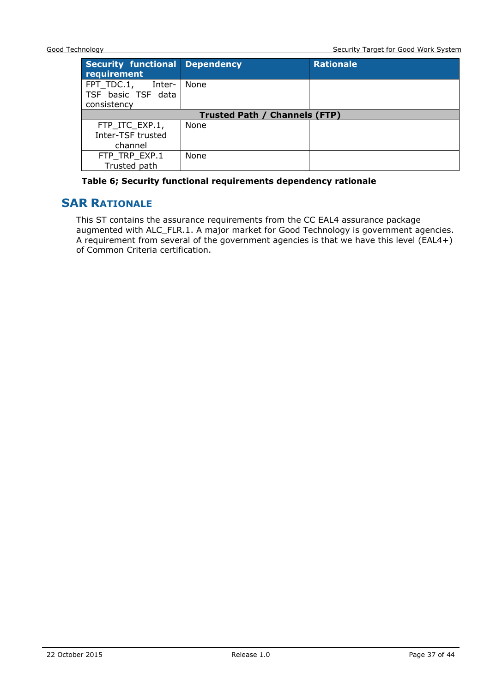| <b>Security functional Dependency</b><br>requirement      |      | <b>Rationale</b> |  |  |  |
|-----------------------------------------------------------|------|------------------|--|--|--|
| FPT TDC.1,<br>-Inter<br>TSF basic TSF data<br>consistency | None |                  |  |  |  |
| <b>Trusted Path / Channels (FTP)</b>                      |      |                  |  |  |  |
| FTP_ITC_EXP.1,                                            | None |                  |  |  |  |
| Inter-TSF trusted                                         |      |                  |  |  |  |
| channel                                                   |      |                  |  |  |  |
| FTP TRP EXP.1                                             | None |                  |  |  |  |
| Trusted path                                              |      |                  |  |  |  |

#### **Table 6; Security functional requirements dependency rationale**

#### <span id="page-36-0"></span>**SAR RATIONALE**

This ST contains the assurance requirements from the CC EAL4 assurance package augmented with ALC\_FLR.1. A major market for Good Technology is government agencies. A requirement from several of the government agencies is that we have this level (EAL4+) of Common Criteria certification.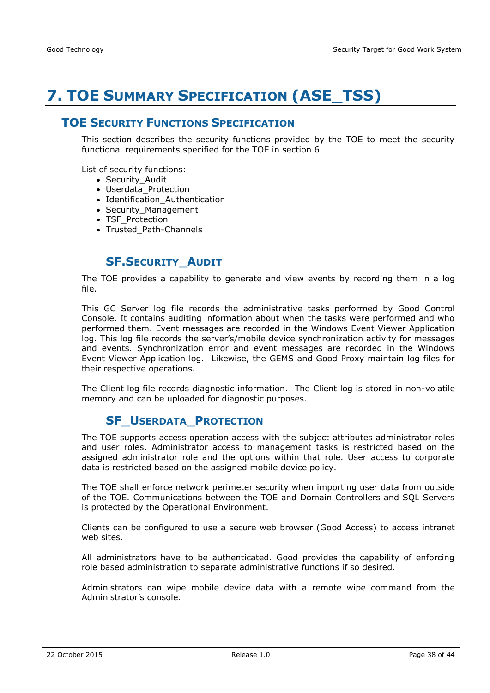## <span id="page-37-0"></span>**7. TOE SUMMARY SPECIFICATION (ASE\_TSS)**

#### <span id="page-37-1"></span>**TOE SECURITY FUNCTIONS SPECIFICATION**

This section describes the security functions provided by the TOE to meet the security functional requirements specified for the TOE in section 6.

List of security functions:

- Security Audit
- Userdata Protection
- Identification Authentication
- Security\_Management
- TSF Protection
- Trusted Path-Channels

#### **SF.SECURITY\_AUDIT**

<span id="page-37-2"></span>The TOE provides a capability to generate and view events by recording them in a log file.

This GC Server log file records the administrative tasks performed by Good Control Console. It contains auditing information about when the tasks were performed and who performed them. Event messages are recorded in the Windows Event Viewer Application log. This log file records the server's/mobile device synchronization activity for messages and events. Synchronization error and event messages are recorded in the Windows Event Viewer Application log. Likewise, the GEMS and Good Proxy maintain log files for their respective operations.

<span id="page-37-3"></span>The Client log file records diagnostic information. The Client log is stored in non-volatile memory and can be uploaded for diagnostic purposes.

## **SF\_USERDATA\_PROTECTION**

The TOE supports access operation access with the subject attributes administrator roles and user roles. Administrator access to management tasks is restricted based on the assigned administrator role and the options within that role. User access to corporate data is restricted based on the assigned mobile device policy.

The TOE shall enforce network perimeter security when importing user data from outside of the TOE. Communications between the TOE and Domain Controllers and SQL Servers is protected by the Operational Environment.

Clients can be configured to use a secure web browser (Good Access) to access intranet web sites.

All administrators have to be authenticated. Good provides the capability of enforcing role based administration to separate administrative functions if so desired.

Administrators can wipe mobile device data with a remote wipe command from the Administrator's console.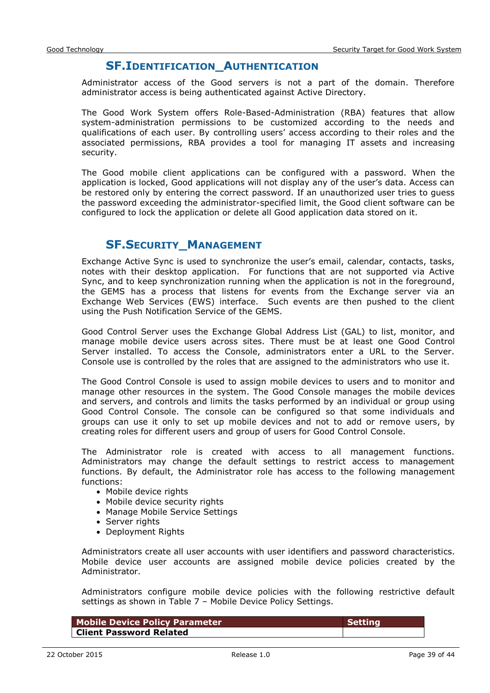#### **SF.IDENTIFICATION\_AUTHENTICATION**

<span id="page-38-0"></span>Administrator access of the Good servers is not a part of the domain. Therefore administrator access is being authenticated against Active Directory.

The Good Work System offers Role-Based-Administration (RBA) features that allow system-administration permissions to be customized according to the needs and qualifications of each user. By controlling users' access according to their roles and the associated permissions, RBA provides a tool for managing IT assets and increasing security.

The Good mobile client applications can be configured with a password. When the application is locked, Good applications will not display any of the user's data. Access can be restored only by entering the correct password. If an unauthorized user tries to guess the password exceeding the administrator-specified limit, the Good client software can be configured to lock the application or delete all Good application data stored on it.

## **SF.SECURITY\_MANAGEMENT**

<span id="page-38-1"></span>Exchange Active Sync is used to synchronize the user's email, calendar, contacts, tasks, notes with their desktop application. For functions that are not supported via Active Sync, and to keep synchronization running when the application is not in the foreground, the GEMS has a process that listens for events from the Exchange server via an Exchange Web Services (EWS) interface. Such events are then pushed to the client using the Push Notification Service of the GEMS.

Good Control Server uses the Exchange Global Address List (GAL) to list, monitor, and manage mobile device users across sites. There must be at least one Good Control Server installed. To access the Console, administrators enter a URL to the Server. Console use is controlled by the roles that are assigned to the administrators who use it.

The Good Control Console is used to assign mobile devices to users and to monitor and manage other resources in the system. The Good Console manages the mobile devices and servers, and controls and limits the tasks performed by an individual or group using Good Control Console. The console can be configured so that some individuals and groups can use it only to set up mobile devices and not to add or remove users, by creating roles for different users and group of users for Good Control Console.

The Administrator role is created with access to all management functions. Administrators may change the default settings to restrict access to management functions. By default, the Administrator role has access to the following management functions:

- Mobile device rights
- Mobile device security rights
- Manage Mobile Service Settings
- Server rights
- Deployment Rights

Administrators create all user accounts with user identifiers and password characteristics. Mobile device user accounts are assigned mobile device policies created by the Administrator.

Administrators configure mobile device policies with the following restrictive default settings as shown in Table 7 – Mobile Device Policy Settings.

| Mobile Device Policy Parameter | <b>Setting</b> |
|--------------------------------|----------------|
| <b>Client Password Related</b> |                |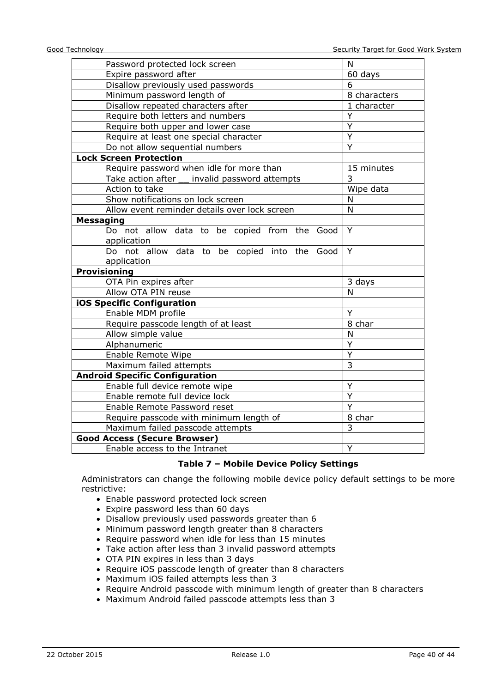| Password protected lock screen                              | N              |
|-------------------------------------------------------------|----------------|
| Expire password after                                       | 60 days        |
| Disallow previously used passwords                          | 6              |
| Minimum password length of                                  | 8 characters   |
| Disallow repeated characters after                          | 1 character    |
| Require both letters and numbers                            | Ý              |
| Require both upper and lower case                           | Ÿ              |
| Require at least one special character                      | $\overline{Y}$ |
| Do not allow sequential numbers                             | Ÿ              |
| <b>Lock Screen Protection</b>                               |                |
| Require password when idle for more than                    | 15 minutes     |
| Take action after __ invalid password attempts              | $\overline{3}$ |
| Action to take                                              | Wipe data      |
| Show notifications on lock screen                           | N              |
| Allow event reminder details over lock screen               | N              |
| <b>Messaging</b>                                            |                |
| Do not allow data to be copied from the Good                | Y              |
| application                                                 |                |
| Do not allow data to be copied into the Good<br>application | Y              |
| <b>Provisioning</b>                                         |                |
| OTA Pin expires after                                       | 3 days         |
| Allow OTA PIN reuse                                         | N              |
| <b>iOS Specific Configuration</b>                           |                |
| Enable MDM profile                                          | Y              |
| Require passcode length of at least                         | 8 char         |
| Allow simple value                                          | N              |
| Alphanumeric                                                | Y              |
| Enable Remote Wipe                                          | Y              |
| Maximum failed attempts                                     | 3              |
| <b>Android Specific Configuration</b>                       |                |
| Enable full device remote wipe                              | Υ              |
| Enable remote full device lock                              | $\overline{Y}$ |
| Enable Remote Password reset                                | Y              |
| Require passcode with minimum length of                     | 8 char         |
| Maximum failed passcode attempts                            | $\overline{3}$ |
| <b>Good Access (Secure Browser)</b>                         |                |
| Enable access to the Intranet                               | Y              |

#### **Table 7 – Mobile Device Policy Settings**

Administrators can change the following mobile device policy default settings to be more restrictive:

- Enable password protected lock screen
- Expire password less than 60 days
- Disallow previously used passwords greater than 6
- Minimum password length greater than 8 characters
- Require password when idle for less than 15 minutes
- Take action after less than 3 invalid password attempts
- OTA PIN expires in less than 3 days
- Require iOS passcode length of greater than 8 characters
- Maximum iOS failed attempts less than 3
- Require Android passcode with minimum length of greater than 8 characters
- Maximum Android failed passcode attempts less than 3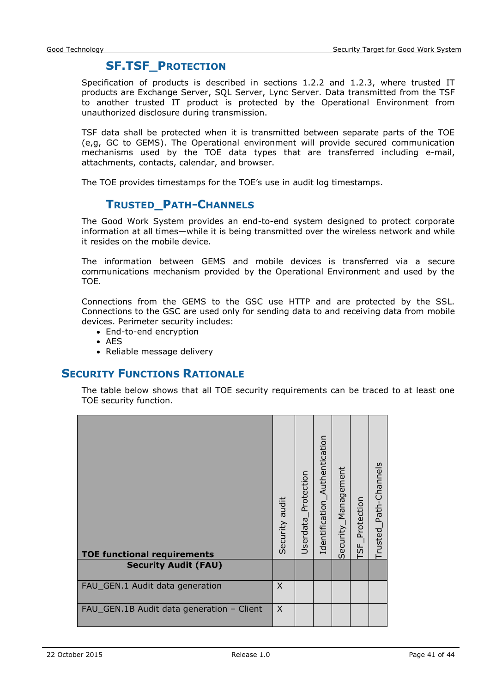## **SF.TSF\_PROTECTION**

<span id="page-40-0"></span>Specification of products is described in sections 1.2.2 and 1.2.3, where trusted IT products are Exchange Server, SQL Server, Lync Server. Data transmitted from the TSF to another trusted IT product is protected by the Operational Environment from unauthorized disclosure during transmission.

TSF data shall be protected when it is transmitted between separate parts of the TOE (e,g, GC to GEMS). The Operational environment will provide secured communication mechanisms used by the TOE data types that are transferred including e-mail, attachments, contacts, calendar, and browser.

<span id="page-40-1"></span>The TOE provides timestamps for the TOE's use in audit log timestamps.

#### **TRUSTED\_PATH-CHANNELS**

The Good Work System provides an end-to-end system designed to protect corporate information at all times—while it is being transmitted over the wireless network and while it resides on the mobile device.

The information between GEMS and mobile devices is transferred via a secure communications mechanism provided by the Operational Environment and used by the TOE.

Connections from the GEMS to the GSC use HTTP and are protected by the SSL. Connections to the GSC are used only for sending data to and receiving data from mobile devices. Perimeter security includes:

- End-to-end encryption
- $\bullet$  AES
- Reliable message delivery

#### <span id="page-40-2"></span>**SECURITY FUNCTIONS RATIONALE**

The table below shows that all TOE security requirements can be traced to at least one TOE security function.

| <b>TOE functional requirements</b>        | Security audit | Userdata_Protection | Authentication<br>Identification_ | Security_Management | Protection<br>$\overline{\overline{\overline{5F}}}$ | Trusted_Path-Channels |
|-------------------------------------------|----------------|---------------------|-----------------------------------|---------------------|-----------------------------------------------------|-----------------------|
| <b>Security Audit (FAU)</b>               |                |                     |                                   |                     |                                                     |                       |
| FAU_GEN.1 Audit data generation           | $\times$       |                     |                                   |                     |                                                     |                       |
| FAU_GEN.1B Audit data generation - Client | $\times$       |                     |                                   |                     |                                                     |                       |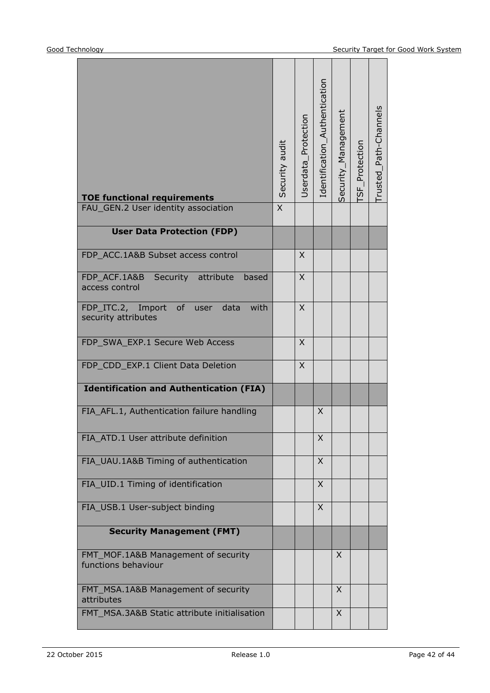| <b>TOE functional requirements</b>                                     | Security audit | Userdata_Protection | Identification_Authentication | Security_Management | SF_Protection | rusted_Path-Channels |
|------------------------------------------------------------------------|----------------|---------------------|-------------------------------|---------------------|---------------|----------------------|
| FAU_GEN.2 User identity association                                    | $\overline{X}$ |                     |                               |                     |               |                      |
| <b>User Data Protection (FDP)</b>                                      |                |                     |                               |                     |               |                      |
| FDP ACC.1A&B Subset access control                                     |                | X                   |                               |                     |               |                      |
| FDP ACF.1A&B Security<br>attribute<br>based<br>access control          |                | X                   |                               |                     |               |                      |
| FDP_ITC.2, Import<br>of<br>with<br>data<br>user<br>security attributes |                | X                   |                               |                     |               |                      |
| FDP_SWA_EXP.1 Secure Web Access                                        |                | $\mathsf{X}$        |                               |                     |               |                      |
| FDP_CDD_EXP.1 Client Data Deletion                                     |                | $\times$            |                               |                     |               |                      |
| <b>Identification and Authentication (FIA)</b>                         |                |                     |                               |                     |               |                      |
| FIA_AFL.1, Authentication failure handling                             |                |                     | X                             |                     |               |                      |
| FIA_ATD.1 User attribute definition                                    |                |                     | X                             |                     |               |                      |
| FIA_UAU.1A&B Timing of authentication                                  |                |                     | X                             |                     |               |                      |
| FIA_UID.1 Timing of identification                                     |                |                     | X                             |                     |               |                      |
| FIA_USB.1 User-subject binding                                         |                |                     | X                             |                     |               |                      |
| <b>Security Management (FMT)</b>                                       |                |                     |                               |                     |               |                      |
| FMT_MOF.1A&B Management of security<br>functions behaviour             |                |                     |                               | $\times$            |               |                      |
| FMT_MSA.1A&B Management of security<br>attributes                      |                |                     |                               | X                   |               |                      |
| FMT MSA.3A&B Static attribute initialisation                           |                |                     |                               | X                   |               |                      |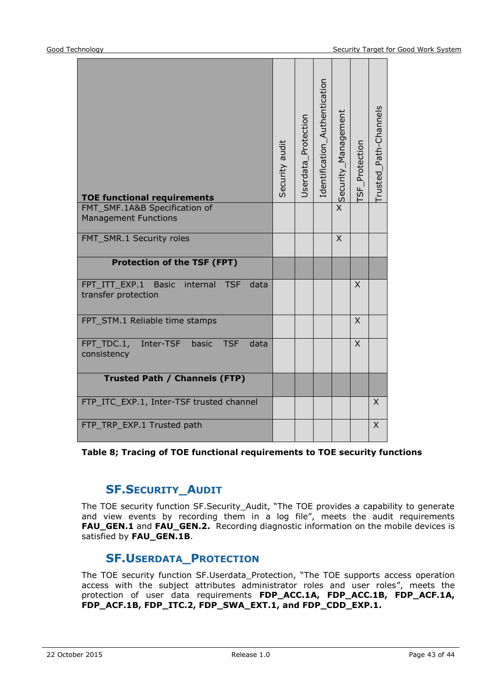| <b>TOE functional requirements</b><br>FMT_SMF.1A&B Specification of                    | Security audit | Userdata_Protection | Identification_Authentication | X Security_Management | <b>ISF</b> Protection | Trusted_Path-Channels |
|----------------------------------------------------------------------------------------|----------------|---------------------|-------------------------------|-----------------------|-----------------------|-----------------------|
| <b>Management Functions</b>                                                            |                |                     |                               |                       |                       |                       |
| FMT_SMR.1 Security roles                                                               |                |                     |                               | $\mathsf{X}$          |                       |                       |
| <b>Protection of the TSF (FPT)</b>                                                     |                |                     |                               |                       |                       |                       |
| FPT ITT EXP.1<br><b>Basic</b><br>internal<br><b>TSF</b><br>data<br>transfer protection |                |                     |                               |                       | X                     |                       |
| FPT_STM.1 Reliable time stamps                                                         |                |                     |                               |                       | X                     |                       |
| FPT_TDC.1,<br>Inter-TSF<br><b>TSF</b><br>data<br>basic<br>consistency                  |                |                     |                               |                       | $\times$              |                       |
| <b>Trusted Path / Channels (FTP)</b>                                                   |                |                     |                               |                       |                       |                       |
| FTP_ITC_EXP.1, Inter-TSF trusted channel                                               |                |                     |                               |                       |                       | X                     |
| FTP_TRP_EXP.1 Trusted path                                                             |                |                     |                               |                       |                       | $\times$              |

**Table 8; Tracing of TOE functional requirements to TOE security functions**

## **SF.SECURITY\_AUDIT**

The TOE security function SF.Security\_Audit, "The TOE provides a capability to generate and view events by recording them in a log file", meets the audit requirements **FAU\_GEN.1** and **FAU\_GEN.2.** Recording diagnostic information on the mobile devices is satisfied by **FAU\_GEN.1B**.

## **SF.USERDATA\_PROTECTION**

The TOE security function SF.Userdata\_Protection, "The TOE supports access operation access with the subject attributes administrator roles and user roles", meets the protection of user data requirements **FDP\_ACC.1A, FDP\_ACC.1B, FDP\_ACF.1A, FDP\_ACF.1B, FDP\_ITC.2, FDP\_SWA\_EXT.1, and FDP\_CDD\_EXP.1.**